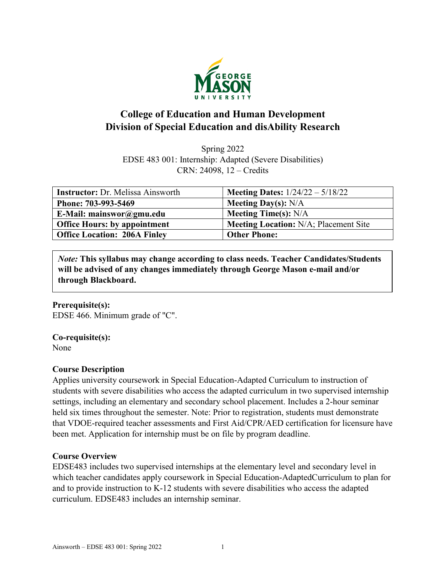

# **College of Education and Human Development Division of Special Education and disAbility Research**

Spring 2022 EDSE 483 001: Internship: Adapted (Severe Disabilities) CRN: 24098, 12 – Credits

| <b>Instructor:</b> Dr. Melissa Ainsworth | <b>Meeting Dates:</b> $1/24/22 - 5/18/22$    |
|------------------------------------------|----------------------------------------------|
| Phone: 703-993-5469                      | <b>Meeting Day(s):</b> $N/A$                 |
| E-Mail: mainswor@gmu.edu                 | Meeting Time(s): $N/A$                       |
| <b>Office Hours: by appointment</b>      | <b>Meeting Location:</b> N/A; Placement Site |
| <b>Office Location: 206A Finley</b>      | <b>Other Phone:</b>                          |

*Note:* **This syllabus may change according to class needs. Teacher Candidates/Students will be advised of any changes immediately through George Mason e-mail and/or through Blackboard.**

#### **Prerequisite(s):**

EDSE 466. Minimum grade of "C".

#### **Co-requisite(s):**

None

### **Course Description**

Applies university coursework in Special Education-Adapted Curriculum to instruction of students with severe disabilities who access the adapted curriculum in two supervised internship settings, including an elementary and secondary school placement. Includes a 2-hour seminar held six times throughout the semester. Note: Prior to registration, students must demonstrate that VDOE-required teacher assessments and First Aid/CPR/AED certification for licensure have been met. Application for internship must be on file by program deadline.

### **Course Overview**

EDSE483 includes two supervised internships at the elementary level and secondary level in which teacher candidates apply coursework in Special Education-AdaptedCurriculum to plan for and to provide instruction to K-12 students with severe disabilities who access the adapted curriculum. EDSE483 includes an internship seminar.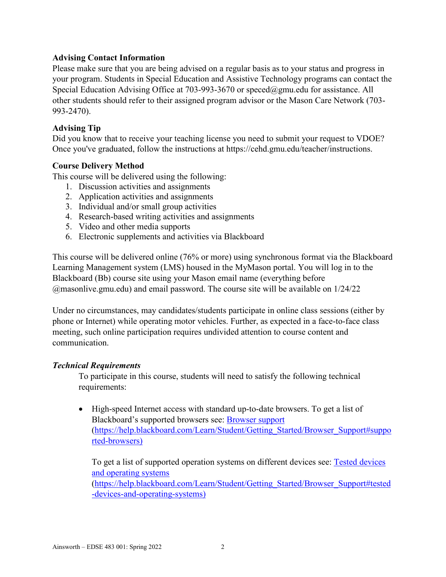#### **Advising Contact Information**

Please make sure that you are being advised on a regular basis as to your status and progress in your program. Students in Special Education and Assistive Technology programs can contact the Special Education Advising Office at 703-993-3670 or [speced@gmu.edu](about:blank) for assistance. All other students should refer to their assigned program advisor or the Mason Care Network (703- 993-2470).

### **Advising Tip**

Did you know that to receive your teaching license you need to submit your request to VDOE? Once you've graduated, follow the instructions at https://cehd.gmu.edu/teacher/instructions.

### **Course Delivery Method**

This course will be delivered using the following:

- 1. Discussion activities and assignments
- 2. Application activities and assignments
- 3. Individual and/or small group activities
- 4. Research-based writing activities and assignments
- 5. Video and other media supports
- 6. Electronic supplements and activities via Blackboard

This course will be delivered online (76% or more) using synchronous format via the Blackboard Learning Management system (LMS) housed in the MyMason portal. You will log in to the Blackboard (Bb) course site using your Mason email name (everything before @masonlive.gmu.edu) and email password. The course site will be available on 1/24/22

Under no circumstances, may candidates/students participate in online class sessions (either by phone or Internet) while operating motor vehicles. Further, as expected in a face-to-face class meeting, such online participation requires undivided attention to course content and communication.

#### *Technical Requirements*

To participate in this course, students will need to satisfy the following technical requirements:

• High-speed Internet access with standard up-to-date browsers. To get a list of Blackboard's supported browsers see: [Browser support](about:blank#supported-browsers) [\(https://help.blackboard.com/Learn/Student/Getting\\_Started/Browser\\_Support#suppo](about:blank#supported-browsers) [rted-browsers\)](about:blank#supported-browsers)

To get a list of supported operation systems on different devices see: [Tested devices](about:blank#tested-devices-and-operating-systems)  [and operating systems](about:blank#tested-devices-and-operating-systems) [\(https://help.blackboard.com/Learn/Student/Getting\\_Started/Browser\\_Support#tested](about:blank#tested-devices-and-operating-systems) [-devices-and-operating-systems\)](about:blank#tested-devices-and-operating-systems)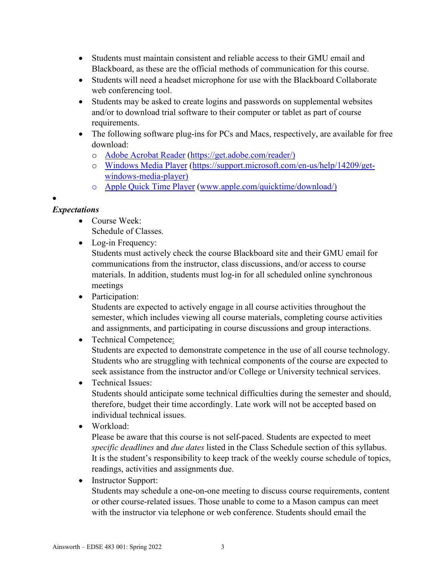- Students must maintain consistent and reliable access to their GMU email and Blackboard, as these are the official methods of communication for this course.
- Students will need a headset microphone for use with the Blackboard Collaborate web conferencing tool.
- Students may be asked to create logins and passwords on supplemental websites and/or to download trial software to their computer or tablet as part of course requirements.
- The following software plug-ins for PCs and Macs, respectively, are available for free download:
	- o [Adobe Acrobat Reader](about:blank) [\(https://get.adobe.com/reader/\)](about:blank)
	- o [Windows Media Player](about:blank) [\(https://support.microsoft.com/en-us/help/14209/get](about:blank)[windows-media-player\)](about:blank)
	- o [Apple Quick Time Player](about:blank) [\(www.apple.com/quicktime/download/\)](about:blank)

# •

## *Expectations*

• Course Week:

Schedule of Classes.

• Log-in Frequency:

Students must actively check the course Blackboard site and their GMU email for communications from the instructor, class discussions, and/or access to course materials. In addition, students must log-in for all scheduled online synchronous meetings

• Participation:

Students are expected to actively engage in all course activities throughout the semester, which includes viewing all course materials, completing course activities and assignments, and participating in course discussions and group interactions.

- Technical Competence: Students are expected to demonstrate competence in the use of all course technology. Students who are struggling with technical components of the course are expected to seek assistance from the instructor and/or College or University technical services.
- Technical Issues: Students should anticipate some technical difficulties during the semester and should, therefore, budget their time accordingly. Late work will not be accepted based on individual technical issues.
- Workload:

Please be aware that this course is not self-paced. Students are expected to meet *specific deadlines* and *due dates* listed in the Class Schedule section of this syllabus. It is the student's responsibility to keep track of the weekly course schedule of topics, readings, activities and assignments due.

• Instructor Support:

Students may schedule a one-on-one meeting to discuss course requirements, content or other course-related issues. Those unable to come to a Mason campus can meet with the instructor via telephone or web conference. Students should email the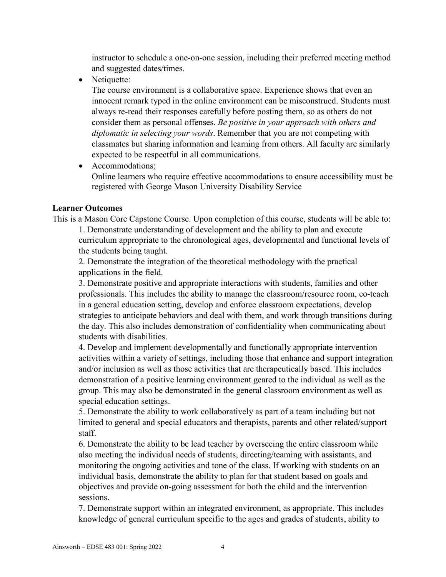instructor to schedule a one-on-one session, including their preferred meeting method and suggested dates/times.

• Netiquette:

The course environment is a collaborative space. Experience shows that even an innocent remark typed in the online environment can be misconstrued. Students must always re-read their responses carefully before posting them, so as others do not consider them as personal offenses. *Be positive in your approach with others and diplomatic in selecting your words*. Remember that you are not competing with classmates but sharing information and learning from others. All faculty are similarly expected to be respectful in all communications.

• Accommodations: Online learners who require effective accommodations to ensure accessibility must be registered with George Mason University Disability Service

#### **Learner Outcomes**

This is a Mason Core Capstone Course. Upon completion of this course, students will be able to: 1. Demonstrate understanding of development and the ability to plan and execute curriculum appropriate to the chronological ages, developmental and functional levels of the students being taught.

2. Demonstrate the integration of the theoretical methodology with the practical applications in the field.

3. Demonstrate positive and appropriate interactions with students, families and other professionals. This includes the ability to manage the classroom/resource room, co-teach in a general education setting, develop and enforce classroom expectations, develop strategies to anticipate behaviors and deal with them, and work through transitions during the day. This also includes demonstration of confidentiality when communicating about students with disabilities.

4. Develop and implement developmentally and functionally appropriate intervention activities within a variety of settings, including those that enhance and support integration and/or inclusion as well as those activities that are therapeutically based. This includes demonstration of a positive learning environment geared to the individual as well as the group. This may also be demonstrated in the general classroom environment as well as special education settings.

5. Demonstrate the ability to work collaboratively as part of a team including but not limited to general and special educators and therapists, parents and other related/support staff.

6. Demonstrate the ability to be lead teacher by overseeing the entire classroom while also meeting the individual needs of students, directing/teaming with assistants, and monitoring the ongoing activities and tone of the class. If working with students on an individual basis, demonstrate the ability to plan for that student based on goals and objectives and provide on-going assessment for both the child and the intervention sessions.

7. Demonstrate support within an integrated environment, as appropriate. This includes knowledge of general curriculum specific to the ages and grades of students, ability to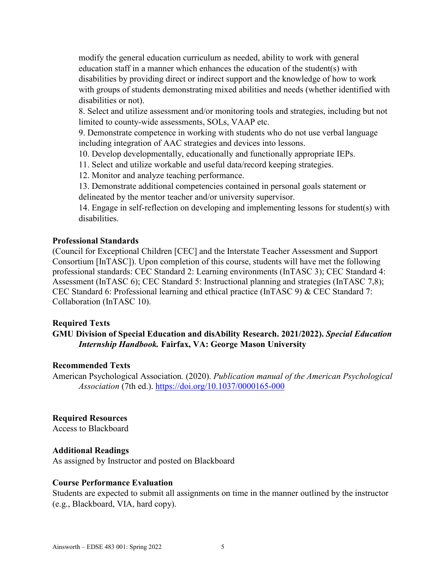modify the general education curriculum as needed, ability to work with general education staff in a manner which enhances the education of the student(s) with disabilities by providing direct or indirect support and the knowledge of how to work with groups of students demonstrating mixed abilities and needs (whether identified with disabilities or not).

8. Select and utilize assessment and/or monitoring tools and strategies, including but not limited to county-wide assessments, SOLs, VAAP etc.

9. Demonstrate competence in working with students who do not use verbal language including integration of AAC strategies and devices into lessons.

10. Develop developmentally, educationally and functionally appropriate IEPs.

11. Select and utilize workable and useful data/record keeping strategies.

12. Monitor and analyze teaching performance.

13. Demonstrate additional competencies contained in personal goals statement or delineated by the mentor teacher and/or university supervisor.

14. Engage in self-reflection on developing and implementing lessons for student(s) with disabilities.

#### **Professional Standards**

(Council for Exceptional Children [CEC] and the Interstate Teacher Assessment and Support Consortium [InTASC]). Upon completion of this course, students will have met the following professional standards: CEC Standard 2: Learning environments (InTASC 3); CEC Standard 4: Assessment (InTASC 6); CEC Standard 5: Instructional planning and strategies (InTASC 7,8); CEC Standard 6: Professional learning and ethical practice (InTASC 9) & CEC Standard 7: Collaboration (InTASC 10).

### **Required Texts**

### **GMU Division of Special Education and disAbility Research. 2021/2022).** *Special Education Internship Handbook.* **Fairfax, VA: George Mason University**

#### **Recommended Texts**

American Psychological Association*.* (2020). *Publication manual of the American Psychological Association* (7th ed.). [https://doi.org/10.1037/0000165-000](about:blank)

### **Required Resources**

Access to Blackboard

#### **Additional Readings**

As assigned by Instructor and posted on Blackboard

#### **Course Performance Evaluation**

Students are expected to submit all assignments on time in the manner outlined by the instructor (e.g., Blackboard, VIA, hard copy).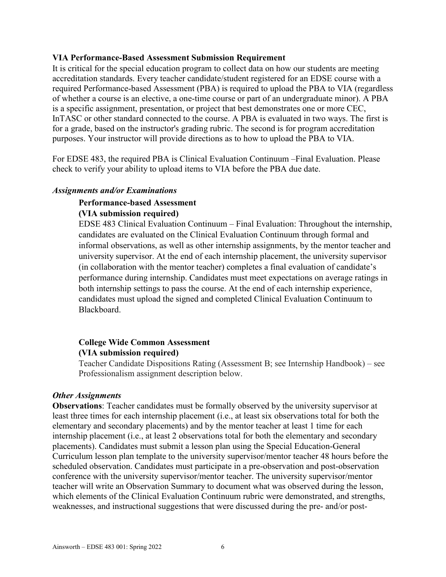#### **VIA Performance-Based Assessment Submission Requirement**

It is critical for the special education program to collect data on how our students are meeting accreditation standards. Every teacher candidate/student registered for an EDSE course with a required Performance-based Assessment (PBA) is required to upload the PBA to VIA (regardless of whether a course is an elective, a one-time course or part of an undergraduate minor). A PBA is a specific assignment, presentation, or project that best demonstrates one or more CEC, InTASC or other standard connected to the course. A PBA is evaluated in two ways. The first is for a grade, based on the instructor's grading rubric. The second is for program accreditation purposes. Your instructor will provide directions as to how to upload the PBA to VIA.

For EDSE 483, the required PBA is Clinical Evaluation Continuum –Final Evaluation. Please check to verify your ability to upload items to VIA before the PBA due date.

#### *Assignments and/or Examinations*

### **Performance-based Assessment**

#### **(VIA submission required)**

EDSE 483 Clinical Evaluation Continuum – Final Evaluation: Throughout the internship, candidates are evaluated on the Clinical Evaluation Continuum through formal and informal observations, as well as other internship assignments, by the mentor teacher and university supervisor. At the end of each internship placement, the university supervisor (in collaboration with the mentor teacher) completes a final evaluation of candidate's performance during internship. Candidates must meet expectations on average ratings in both internship settings to pass the course. At the end of each internship experience, candidates must upload the signed and completed Clinical Evaluation Continuum to Blackboard.

### **College Wide Common Assessment (VIA submission required)**

Teacher Candidate Dispositions Rating (Assessment B; see Internship Handbook) – see Professionalism assignment description below.

#### *Other Assignments*

**Observations**: Teacher candidates must be formally observed by the university supervisor at least three times for each internship placement (i.e., at least six observations total for both the elementary and secondary placements) and by the mentor teacher at least 1 time for each internship placement (i.e., at least 2 observations total for both the elementary and secondary placements). Candidates must submit a lesson plan using the Special Education-General Curriculum lesson plan template to the university supervisor/mentor teacher 48 hours before the scheduled observation. Candidates must participate in a pre-observation and post-observation conference with the university supervisor/mentor teacher. The university supervisor/mentor teacher will write an Observation Summary to document what was observed during the lesson, which elements of the Clinical Evaluation Continuum rubric were demonstrated, and strengths, weaknesses, and instructional suggestions that were discussed during the pre- and/or post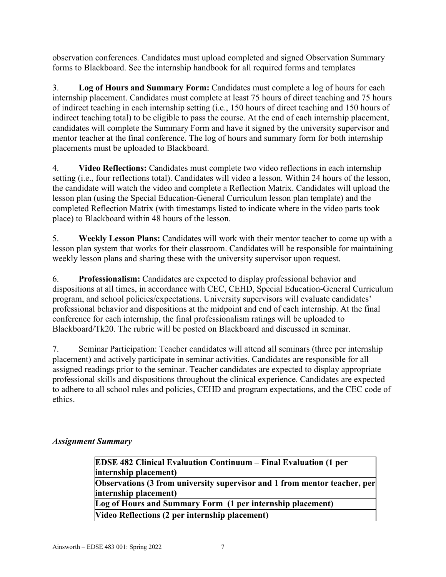observation conferences. Candidates must upload completed and signed Observation Summary forms to Blackboard. See the internship handbook for all required forms and templates

3. **Log of Hours and Summary Form:** Candidates must complete a log of hours for each internship placement. Candidates must complete at least 75 hours of direct teaching and 75 hours of indirect teaching in each internship setting (i.e., 150 hours of direct teaching and 150 hours of indirect teaching total) to be eligible to pass the course. At the end of each internship placement, candidates will complete the Summary Form and have it signed by the university supervisor and mentor teacher at the final conference. The log of hours and summary form for both internship placements must be uploaded to Blackboard.

4. **Video Reflections:** Candidates must complete two video reflections in each internship setting (i.e., four reflections total). Candidates will video a lesson. Within 24 hours of the lesson, the candidate will watch the video and complete a Reflection Matrix. Candidates will upload the lesson plan (using the Special Education-General Curriculum lesson plan template) and the completed Reflection Matrix (with timestamps listed to indicate where in the video parts took place) to Blackboard within 48 hours of the lesson.

5. **Weekly Lesson Plans:** Candidates will work with their mentor teacher to come up with a lesson plan system that works for their classroom. Candidates will be responsible for maintaining weekly lesson plans and sharing these with the university supervisor upon request.

6. **Professionalism:** Candidates are expected to display professional behavior and dispositions at all times, in accordance with CEC, CEHD, Special Education-General Curriculum program, and school policies/expectations. University supervisors will evaluate candidates' professional behavior and dispositions at the midpoint and end of each internship. At the final conference for each internship, the final professionalism ratings will be uploaded to Blackboard/Tk20. The rubric will be posted on Blackboard and discussed in seminar.

7. Seminar Participation: Teacher candidates will attend all seminars (three per internship placement) and actively participate in seminar activities. Candidates are responsible for all assigned readings prior to the seminar. Teacher candidates are expected to display appropriate professional skills and dispositions throughout the clinical experience. Candidates are expected to adhere to all school rules and policies, CEHD and program expectations, and the CEC code of ethics.

### *Assignment Summary*

| <b>EDSE 482 Clinical Evaluation Continuum – Final Evaluation (1 per</b>   |
|---------------------------------------------------------------------------|
| internship placement)                                                     |
| Observations (3 from university supervisor and 1 from mentor teacher, per |
| internship placement)                                                     |
| Log of Hours and Summary Form (1 per internship placement)                |
| Video Reflections (2 per internship placement)                            |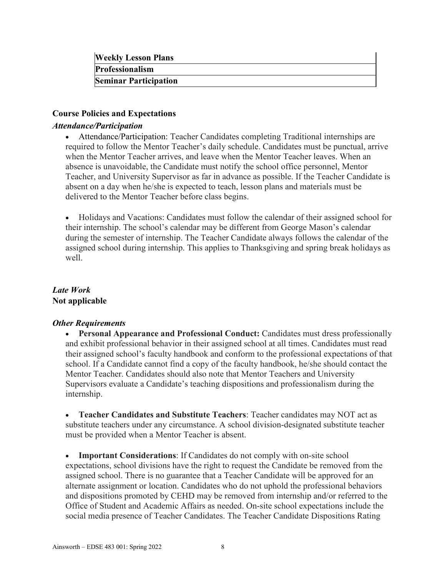| <b>Weekly Lesson Plans</b>   |  |
|------------------------------|--|
| <b>Professionalism</b>       |  |
| <b>Seminar Participation</b> |  |

#### **Course Policies and Expectations**

#### *Attendance/Participation*

• Attendance/Participation: Teacher Candidates completing Traditional internships are required to follow the Mentor Teacher's daily schedule. Candidates must be punctual, arrive when the Mentor Teacher arrives, and leave when the Mentor Teacher leaves. When an absence is unavoidable, the Candidate must notify the school office personnel, Mentor Teacher, and University Supervisor as far in advance as possible. If the Teacher Candidate is absent on a day when he/she is expected to teach, lesson plans and materials must be delivered to the Mentor Teacher before class begins.

• Holidays and Vacations: Candidates must follow the calendar of their assigned school for their internship. The school's calendar may be different from George Mason's calendar during the semester of internship. The Teacher Candidate always follows the calendar of the assigned school during internship. This applies to Thanksgiving and spring break holidays as well.

### *Late Work* **Not applicable**

#### *Other Requirements*

• **Personal Appearance and Professional Conduct:** Candidates must dress professionally and exhibit professional behavior in their assigned school at all times. Candidates must read their assigned school's faculty handbook and conform to the professional expectations of that school. If a Candidate cannot find a copy of the faculty handbook, he/she should contact the Mentor Teacher. Candidates should also note that Mentor Teachers and University Supervisors evaluate a Candidate's teaching dispositions and professionalism during the internship.

• **Teacher Candidates and Substitute Teachers**: Teacher candidates may NOT act as substitute teachers under any circumstance. A school division-designated substitute teacher must be provided when a Mentor Teacher is absent.

• **Important Considerations**: If Candidates do not comply with on-site school expectations, school divisions have the right to request the Candidate be removed from the assigned school. There is no guarantee that a Teacher Candidate will be approved for an alternate assignment or location. Candidates who do not uphold the professional behaviors and dispositions promoted by CEHD may be removed from internship and/or referred to the Office of Student and Academic Affairs as needed. On-site school expectations include the social media presence of Teacher Candidates. The Teacher Candidate Dispositions Rating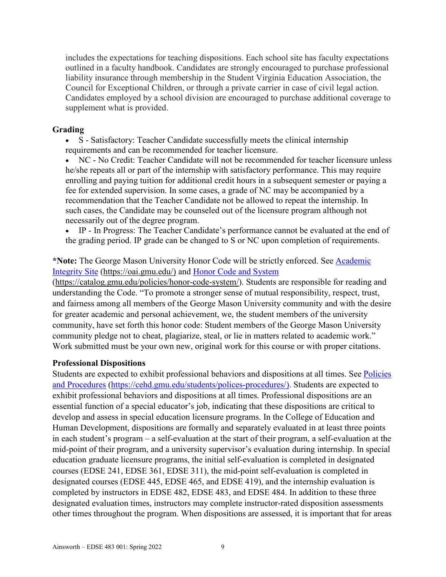includes the expectations for teaching dispositions. Each school site has faculty expectations outlined in a faculty handbook. Candidates are strongly encouraged to purchase professional liability insurance through membership in the Student Virginia Education Association, the Council for Exceptional Children, or through a private carrier in case of civil legal action. Candidates employed by a school division are encouraged to purchase additional coverage to supplement what is provided.

#### **Grading**

• S - Satisfactory: Teacher Candidate successfully meets the clinical internship requirements and can be recommended for teacher licensure.

• NC - No Credit: Teacher Candidate will not be recommended for teacher licensure unless he/she repeats all or part of the internship with satisfactory performance. This may require enrolling and paying tuition for additional credit hours in a subsequent semester or paying a fee for extended supervision. In some cases, a grade of NC may be accompanied by a recommendation that the Teacher Candidate not be allowed to repeat the internship. In such cases, the Candidate may be counseled out of the licensure program although not necessarily out of the degree program.

• IP - In Progress: The Teacher Candidate's performance cannot be evaluated at the end of the grading period. IP grade can be changed to S or NC upon completion of requirements.

### **\*Note:** The George Mason University Honor Code will be strictly enforced. See [Academic](about:blank)  [Integrity Site](about:blank) [\(https://oai.gmu.edu/\)](about:blank) and [Honor Code and System](about:blank)

[\(https://catalog.gmu.edu/policies/honor-code-system/\)](about:blank). Students are responsible for reading and understanding the Code. "To promote a stronger sense of mutual responsibility, respect, trust, and fairness among all members of the George Mason University community and with the desire for greater academic and personal achievement, we, the student members of the university community, have set forth this honor code: Student members of the George Mason University community pledge not to cheat, plagiarize, steal, or lie in matters related to academic work." Work submitted must be your own new, original work for this course or with proper citations.

### **Professional Dispositions**

Students are expected to exhibit professional behaviors and dispositions at all times. See Policies [and Procedures](about:blank) [\(https://cehd.gmu.edu/students/polices-procedures/\)](about:blank). Students are expected to exhibit professional behaviors and dispositions at all times. Professional dispositions are an essential function of a special educator's job, indicating that these dispositions are critical to develop and assess in special education licensure programs. In the College of Education and Human Development, dispositions are formally and separately evaluated in at least three points in each student's program – a self-evaluation at the start of their program, a self-evaluation at the mid-point of their program, and a university supervisor's evaluation during internship. In special education graduate licensure programs, the initial self-evaluation is completed in designated courses (EDSE 241, EDSE 361, EDSE 311), the mid-point self-evaluation is completed in designated courses (EDSE 445, EDSE 465, and EDSE 419), and the internship evaluation is completed by instructors in EDSE 482, EDSE 483, and EDSE 484. In addition to these three designated evaluation times, instructors may complete instructor-rated disposition assessments other times throughout the program. When dispositions are assessed, it is important that for areas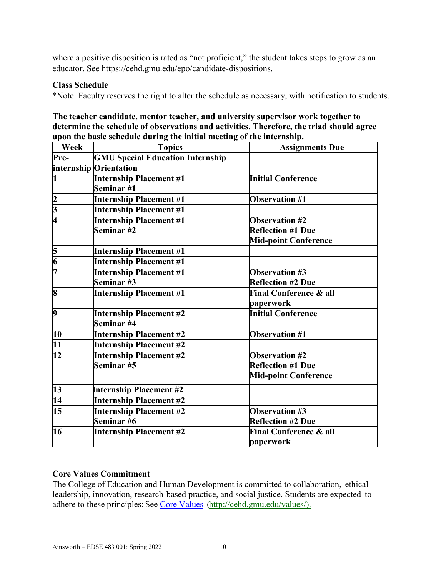where a positive disposition is rated as "not proficient," the student takes steps to grow as an educator. See https://cehd.gmu.edu/epo/candidate-dispositions.

#### **Class Schedule**

\*Note: Faculty reserves the right to alter the schedule as necessary, with notification to students.

| The teacher candidate, mentor teacher, and university supervisor work together to        |
|------------------------------------------------------------------------------------------|
| determine the schedule of observations and activities. Therefore, the triad should agree |
| upon the basic schedule during the initial meeting of the internship.                    |

| Week                        | <b>Topics</b>                           | <b>Assignments Due</b>            |
|-----------------------------|-----------------------------------------|-----------------------------------|
| Pre-                        | <b>GMU Special Education Internship</b> |                                   |
|                             | internship Orientation                  |                                   |
| $\mathbf{1}$                | <b>Internship Placement #1</b>          | <b>Initial Conference</b>         |
|                             | Seminar #1                              |                                   |
|                             | <b>Internship Placement #1</b>          | <b>Observation #1</b>             |
| $\frac{2}{3}$ $\frac{1}{4}$ | <b>Internship Placement #1</b>          |                                   |
|                             | <b>Internship Placement #1</b>          | <b>Observation #2</b>             |
|                             | Seminar #2                              | <b>Reflection #1 Due</b>          |
|                             |                                         | <b>Mid-point Conference</b>       |
| $\frac{5}{6}$               | <b>Internship Placement #1</b>          |                                   |
|                             | <b>Internship Placement #1</b>          |                                   |
| 17                          | <b>Internship Placement #1</b>          | <b>Observation #3</b>             |
|                             | Seminar #3                              | <b>Reflection #2 Due</b>          |
| $\bf{8}$                    | <b>Internship Placement #1</b>          | <b>Final Conference &amp; all</b> |
|                             |                                         | paperwork                         |
| $\overline{9}$              | <b>Internship Placement #2</b>          | <b>Initial Conference</b>         |
|                             | Seminar #4                              |                                   |
| 10                          | <b>Internship Placement #2</b>          | <b>Observation #1</b>             |
| 11                          | <b>Internship Placement #2</b>          |                                   |
| 12                          | <b>Internship Placement #2</b>          | <b>Observation #2</b>             |
|                             | Seminar #5                              | <b>Reflection #1 Due</b>          |
|                             |                                         | <b>Mid-point Conference</b>       |
| 13                          | <b>Internship Placement #2</b>          |                                   |
| $\overline{14}$             | <b>Internship Placement #2</b>          |                                   |
| 15                          | <b>Internship Placement #2</b>          | <b>Observation #3</b>             |
|                             | Seminar #6                              | <b>Reflection #2 Due</b>          |
| 16                          | <b>Internship Placement #2</b>          | <b>Final Conference &amp; all</b> |
|                             |                                         | paperwork                         |

#### **Core Values Commitment**

The College of Education and Human Development is committed to collaboration, ethical leadership, innovation, research-based practice, and social justice. Students are expected to adhere to these principles: See [Core Values](about:blank) [\(http://cehd.gmu.edu/values/\)](about:blank).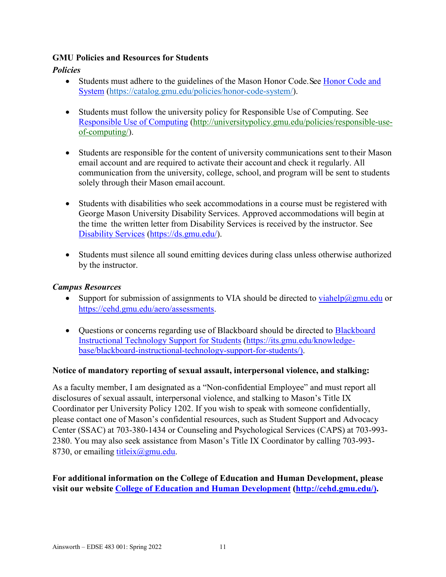### **GMU Policies and Resources for Students**

### *Policies*

- Students must adhere to the guidelines of the Mason Honor Code. See Honor Code and [System](about:blank) [\(https://catalog.gmu.edu/policies/honor-code-system/\)](about:blank).
- Students must follow the university policy for Responsible Use of Computing. See [Responsible Use of Computing](about:blank) [\(http://universitypolicy.gmu.edu/policies/responsible-use](about:blank)[of-computing/\)](about:blank).
- Students are responsible for the content of university communications sent to their Mason email account and are required to activate their account and check it regularly. All communication from the university, college, school, and program will be sent to students solely through their Mason email account.
- Students with disabilities who seek accommodations in a course must be registered with George Mason University Disability Services. Approved accommodations will begin at the time the written letter from Disability Services is received by the instructor. See [Disability Services](about:blank) [\(https://ds.gmu.edu/\)](about:blank).
- Students must silence all sound emitting devices during class unless otherwise authorized by the instructor.

### *Campus Resources*

- Support for submission of assignments to VIA should be directed to [viahelp@gmu.edu](about:blank) or [https://cehd.gmu.edu/aero/assessments.](about:blank)
- Questions or concerns regarding use of [Blackboard](about:blank) should be directed to Blackboard [Instructional Technology Support for Students](about:blank) [\(https://its.gmu.edu/knowledge](about:blank)[base/blackboard-instructional-technology-support-for-students/\)](about:blank).

### **Notice of mandatory reporting of sexual assault, interpersonal violence, and stalking:**

As a faculty member, I am designated as a "Non-confidential Employee" and must report all disclosures of sexual assault, interpersonal violence, and stalking to Mason's Title IX Coordinator per University Policy 1202. If you wish to speak with someone confidentially, please contact one of Mason's confidential resources, such as Student Support and Advocacy Center (SSAC) at 703-380-1434 or Counseling and Psychological Services (CAPS) at 703-993- 2380. You may also seek assistance from Mason's Title IX Coordinator by calling 703-993- 8730, or emailing titleix $(\partial g$ mu.edu.

### **For additional information on the College of Education and Human Development, please visit our website [College of Education and Human Development](about:blank) [\(http://cehd.gmu.edu/\)](about:blank).**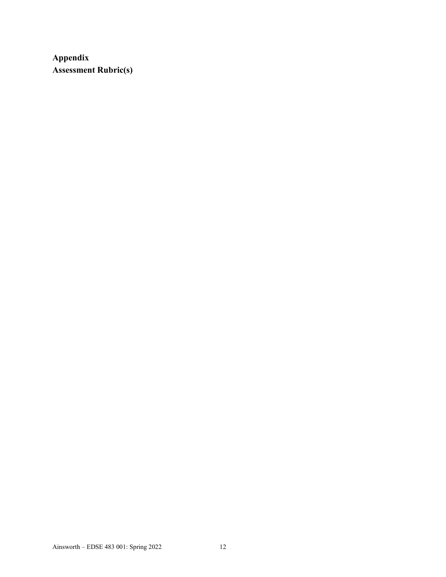**Appendix Assessment Rubric(s)**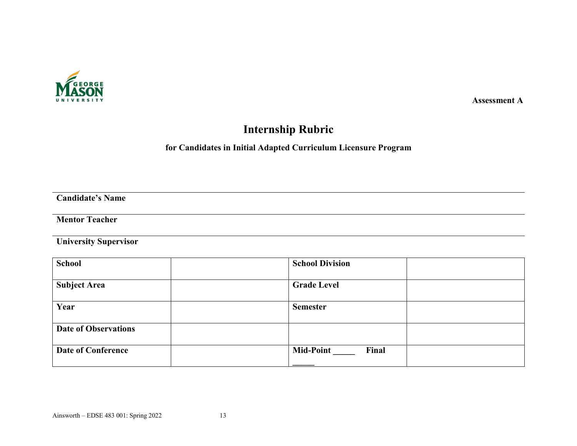

 **Assessment A**

# **Internship Rubric**

## **for Candidates in Initial Adapted Curriculum Licensure Program**

**Candidate's Name**

### **Mentor Teacher**

**University Supervisor**

| <b>School</b>               | <b>School Division</b>    |
|-----------------------------|---------------------------|
| <b>Subject Area</b>         | <b>Grade Level</b>        |
| Year                        | <b>Semester</b>           |
| <b>Date of Observations</b> |                           |
| <b>Date of Conference</b>   | <b>Mid-Point</b><br>Final |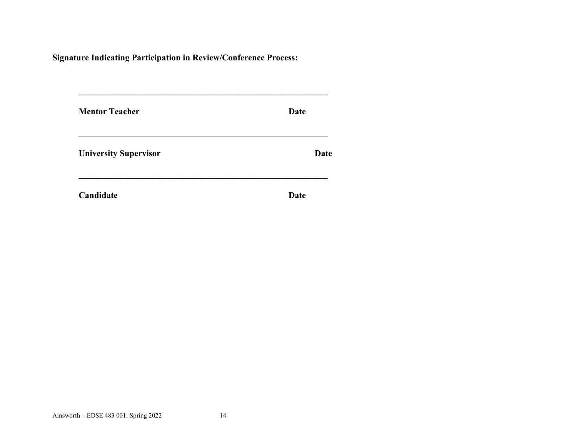**Signature Indicating Participation in Review/Conference Process:**

| <b>Mentor Teacher</b>        | Date |
|------------------------------|------|
| <b>University Supervisor</b> | Date |
| Candidate                    | Date |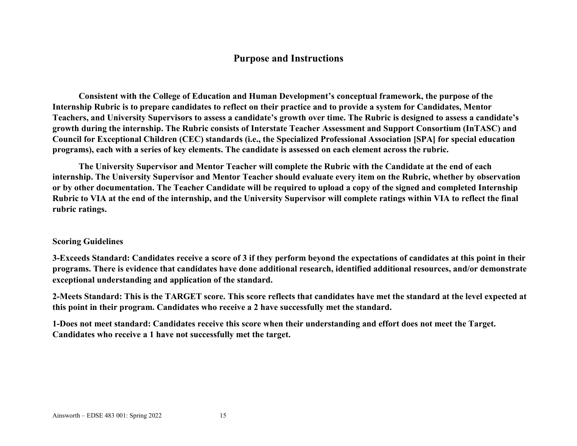## **Purpose and Instructions**

**Consistent with the College of Education and Human Development's conceptual framework, the purpose of the Internship Rubric is to prepare candidates to reflect on their practice and to provide a system for Candidates, Mentor Teachers, and University Supervisors to assess a candidate's growth over time. The Rubric is designed to assess a candidate's growth during the internship. The Rubric consists of Interstate Teacher Assessment and Support Consortium (InTASC) and Council for Exceptional Children (CEC) standards (i.e., the Specialized Professional Association [SPA] for special education programs), each with a series of key elements. The candidate is assessed on each element across the rubric.** 

**The University Supervisor and Mentor Teacher will complete the Rubric with the Candidate at the end of each internship. The University Supervisor and Mentor Teacher should evaluate every item on the Rubric, whether by observation or by other documentation. The Teacher Candidate will be required to upload a copy of the signed and completed Internship Rubric to VIA at the end of the internship, and the University Supervisor will complete ratings within VIA to reflect the final rubric ratings.**

#### **Scoring Guidelines**

**3-Exceeds Standard: Candidates receive a score of 3 if they perform beyond the expectations of candidates at this point in their programs. There is evidence that candidates have done additional research, identified additional resources, and/or demonstrate exceptional understanding and application of the standard.**

**2-Meets Standard: This is the TARGET score. This score reflects that candidates have met the standard at the level expected at this point in their program. Candidates who receive a 2 have successfully met the standard.**

**1-Does not meet standard: Candidates receive this score when their understanding and effort does not meet the Target. Candidates who receive a 1 have not successfully met the target.**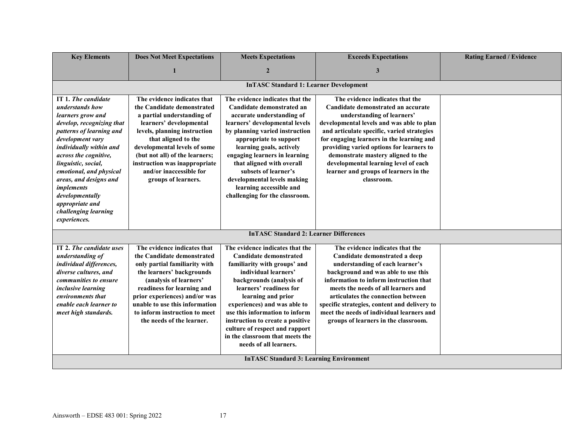| <b>Key Elements</b>                            | <b>Does Not Meet Expectations</b>                   | <b>Meets Expectations</b>                                         | <b>Exceeds Expectations</b>                                                             | <b>Rating Earned / Evidence</b> |
|------------------------------------------------|-----------------------------------------------------|-------------------------------------------------------------------|-----------------------------------------------------------------------------------------|---------------------------------|
|                                                |                                                     | $\overline{2}$                                                    | 3                                                                                       |                                 |
|                                                |                                                     | <b>InTASC Standard 1: Learner Development</b>                     |                                                                                         |                                 |
|                                                |                                                     |                                                                   |                                                                                         |                                 |
| IT 1. The candidate                            | The evidence indicates that                         | The evidence indicates that the                                   | The evidence indicates that the                                                         |                                 |
| understands how                                | the Candidate demonstrated                          | Candidate demonstrated an                                         | Candidate demonstrated an accurate                                                      |                                 |
| learners grow and                              | a partial understanding of                          | accurate understanding of                                         | understanding of learners'                                                              |                                 |
| develop, recognizing that                      | learners' developmental                             | learners' developmental levels                                    | developmental levels and was able to plan                                               |                                 |
| patterns of learning and<br>development vary   | levels, planning instruction                        | by planning varied instruction                                    | and articulate specific, varied strategies<br>for engaging learners in the learning and |                                 |
| individually within and                        | that aligned to the<br>developmental levels of some | appropriate to support<br>learning goals, actively                | providing varied options for learners to                                                |                                 |
| across the cognitive,                          | (but not all) of the learners;                      | engaging learners in learning                                     | demonstrate mastery aligned to the                                                      |                                 |
| linguistic, social,                            | instruction was inappropriate                       | that aligned with overall                                         | developmental learning level of each                                                    |                                 |
| emotional, and physical                        | and/or inaccessible for                             | subsets of learner's                                              | learner and groups of learners in the                                                   |                                 |
| areas, and designs and                         | groups of learners.                                 | developmental levels making                                       | classroom.                                                                              |                                 |
| implements                                     |                                                     | learning accessible and                                           |                                                                                         |                                 |
| developmentally                                |                                                     | challenging for the classroom.                                    |                                                                                         |                                 |
| appropriate and                                |                                                     |                                                                   |                                                                                         |                                 |
| challenging learning                           |                                                     |                                                                   |                                                                                         |                                 |
| experiences.                                   |                                                     |                                                                   |                                                                                         |                                 |
|                                                |                                                     | <b>InTASC Standard 2: Learner Differences</b>                     |                                                                                         |                                 |
| IT 2. The candidate uses                       | The evidence indicates that                         | The evidence indicates that the                                   | The evidence indicates that the                                                         |                                 |
| understanding of                               | the Candidate demonstrated                          | <b>Candidate demonstrated</b>                                     | Candidate demonstrated a deep                                                           |                                 |
| individual differences,                        | only partial familiarity with                       | familiarity with groups' and                                      | understanding of each learner's                                                         |                                 |
| diverse cultures, and                          | the learners' backgrounds                           | individual learners'                                              | background and was able to use this                                                     |                                 |
| communities to ensure                          | (analysis of learners'                              | backgrounds (analysis of                                          | information to inform instruction that                                                  |                                 |
| <i>inclusive learning</i>                      | readiness for learning and                          | learners' readiness for                                           | meets the needs of all learners and                                                     |                                 |
| environments that                              | prior experiences) and/or was                       | learning and prior                                                | articulates the connection between                                                      |                                 |
| enable each learner to                         | unable to use this information                      | experiences) and was able to                                      | specific strategies, content and delivery to                                            |                                 |
| meet high standards.                           | to inform instruction to meet                       | use this information to inform                                    | meet the needs of individual learners and                                               |                                 |
|                                                | the needs of the learner.                           | instruction to create a positive                                  | groups of learners in the classroom.                                                    |                                 |
|                                                |                                                     | culture of respect and rapport<br>in the classroom that meets the |                                                                                         |                                 |
|                                                |                                                     | needs of all learners.                                            |                                                                                         |                                 |
|                                                |                                                     |                                                                   |                                                                                         |                                 |
| <b>InTASC Standard 3: Learning Environment</b> |                                                     |                                                                   |                                                                                         |                                 |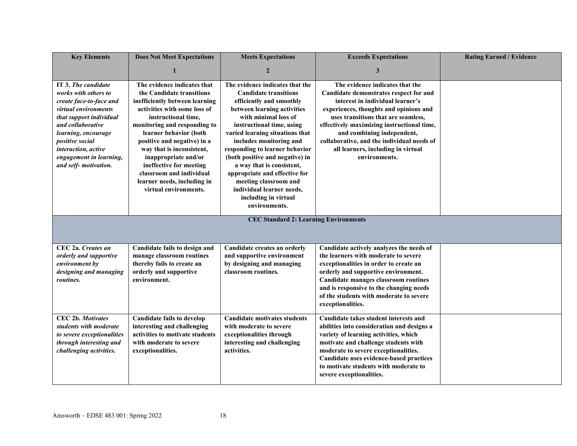| <b>Key Elements</b>                                                                                                                                                                                                                                                | <b>Does Not Meet Expectations</b>                                                                                                                                                                                                                                                                                                                                                                              | <b>Meets Expectations</b>                                                                                                                                                                                                                                                                                                                                                                                                                                                       | <b>Exceeds Expectations</b>                                                                                                                                                                                                                                                                                                                                                     | <b>Rating Earned / Evidence</b> |
|--------------------------------------------------------------------------------------------------------------------------------------------------------------------------------------------------------------------------------------------------------------------|----------------------------------------------------------------------------------------------------------------------------------------------------------------------------------------------------------------------------------------------------------------------------------------------------------------------------------------------------------------------------------------------------------------|---------------------------------------------------------------------------------------------------------------------------------------------------------------------------------------------------------------------------------------------------------------------------------------------------------------------------------------------------------------------------------------------------------------------------------------------------------------------------------|---------------------------------------------------------------------------------------------------------------------------------------------------------------------------------------------------------------------------------------------------------------------------------------------------------------------------------------------------------------------------------|---------------------------------|
|                                                                                                                                                                                                                                                                    | $\mathbf{1}$                                                                                                                                                                                                                                                                                                                                                                                                   | $\mathbf{2}$                                                                                                                                                                                                                                                                                                                                                                                                                                                                    | $\mathbf{3}$                                                                                                                                                                                                                                                                                                                                                                    |                                 |
| IT 3. The candidate<br>works with others to<br>create face-to-face and<br>virtual environments<br>that support individual<br>and collaborative<br>learning, encourage<br>positive social<br>interaction, active<br>engagement in learning,<br>and self-motivation. | The evidence indicates that<br>the Candidate transitions<br>inefficiently between learning<br>activities with some loss of<br>instructional time,<br>monitoring and responding to<br>learner behavior (both<br>positive and negative) in a<br>way that is inconsistent,<br>inappropriate and/or<br>ineffective for meeting<br>classroom and individual<br>learner needs, including in<br>virtual environments. | The evidence indicates that the<br><b>Candidate transitions</b><br>efficiently and smoothly<br>between learning activities<br>with minimal loss of<br>instructional time, using<br>varied learning situations that<br>includes monitoring and<br>responding to learner behavior<br>(both positive and negative) in<br>a way that is consistent,<br>appropriate and effective for<br>meeting classroom and<br>individual learner needs,<br>including in virtual<br>environments. | The evidence indicates that the<br>Candidate demonstrates respect for and<br>interest in individual learner's<br>experiences, thoughts and opinions and<br>uses transitions that are seamless,<br>effectively maximizing instructional time,<br>and combining independent,<br>collaborative, and the individual needs of<br>all learners, including in virtual<br>environments. |                                 |
|                                                                                                                                                                                                                                                                    |                                                                                                                                                                                                                                                                                                                                                                                                                | <b>CEC Standard 2: Learning Environments</b>                                                                                                                                                                                                                                                                                                                                                                                                                                    |                                                                                                                                                                                                                                                                                                                                                                                 |                                 |
| CEC 2a. Creates an<br>orderly and supportive<br>environment by<br>designing and managing<br>routines.                                                                                                                                                              | Candidate fails to design and<br>manage classroom routines<br>thereby fails to create an<br>orderly and supportive<br>environment.                                                                                                                                                                                                                                                                             | Candidate creates an orderly<br>and supportive environment<br>by designing and managing<br>classroom routines.                                                                                                                                                                                                                                                                                                                                                                  | Candidate actively analyzes the needs of<br>the learners with moderate to severe<br>exceptionalities in order to create an<br>orderly and supportive environment.<br>Candidate manages classroom routines<br>and is responsive to the changing needs<br>of the students with moderate to severe<br>exceptionalities.                                                            |                                 |
| <b>CEC 2b. Motivates</b><br>students with moderate<br>to severe exceptionalities<br>through interesting and<br>challenging activities.                                                                                                                             | <b>Candidate fails to develop</b><br>interesting and challenging<br>activities to motivate students<br>with moderate to severe<br>exceptionalities.                                                                                                                                                                                                                                                            | <b>Candidate motivates students</b><br>with moderate to severe<br>exceptionalities through<br>interesting and challenging<br>activities.                                                                                                                                                                                                                                                                                                                                        | Candidate takes student interests and<br>abilities into consideration and designs a<br>variety of learning activities, which<br>motivate and challenge students with<br>moderate to severe exceptionalities.<br>Candidate uses evidence-based practices<br>to motivate students with moderate to<br>severe exceptionalities.                                                    |                                 |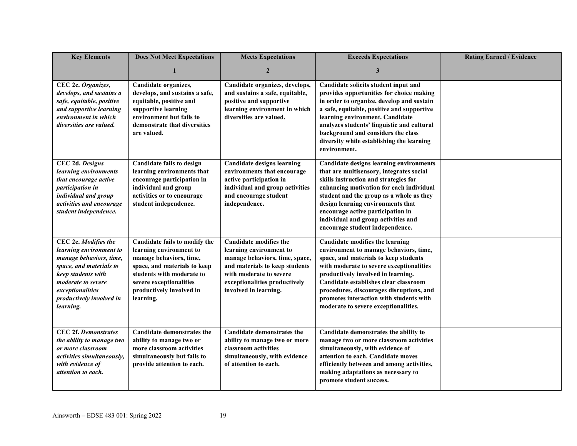| <b>Key Elements</b>                                                                                                                                                                                            | <b>Does Not Meet Expectations</b>                                                                                                                                                                                    | <b>Meets Expectations</b>                                                                                                                                                                                         | <b>Exceeds Expectations</b>                                                                                                                                                                                                                                                                                                                                                     | <b>Rating Earned / Evidence</b> |
|----------------------------------------------------------------------------------------------------------------------------------------------------------------------------------------------------------------|----------------------------------------------------------------------------------------------------------------------------------------------------------------------------------------------------------------------|-------------------------------------------------------------------------------------------------------------------------------------------------------------------------------------------------------------------|---------------------------------------------------------------------------------------------------------------------------------------------------------------------------------------------------------------------------------------------------------------------------------------------------------------------------------------------------------------------------------|---------------------------------|
|                                                                                                                                                                                                                | 1                                                                                                                                                                                                                    | $\overline{2}$                                                                                                                                                                                                    | 3                                                                                                                                                                                                                                                                                                                                                                               |                                 |
| CEC 2c. Organizes,<br>develops, and sustains a<br>safe, equitable, positive<br>and supportive learning<br>environment in which<br>diversities are valued.                                                      | Candidate organizes,<br>develops, and sustains a safe,<br>equitable, positive and<br>supportive learning<br>environment but fails to<br>demonstrate that diversities<br>are valued.                                  | Candidate organizes, develops,<br>and sustains a safe, equitable,<br>positive and supportive<br>learning environment in which<br>diversities are valued.                                                          | Candidate solicits student input and<br>provides opportunities for choice making<br>in order to organize, develop and sustain<br>a safe, equitable, positive and supportive<br>learning environment. Candidate<br>analyzes students' linguistic and cultural<br>background and considers the class<br>diversity while establishing the learning<br>environment.                 |                                 |
| <b>CEC 2d. Designs</b><br>learning environments<br>that encourage active<br>participation in<br>individual and group<br>activities and encourage<br>student independence.                                      | <b>Candidate fails to design</b><br>learning environments that<br>encourage participation in<br>individual and group<br>activities or to encourage<br>student independence.                                          | <b>Candidate designs learning</b><br>environments that encourage<br>active participation in<br>individual and group activities<br>and encourage student<br>independence.                                          | <b>Candidate designs learning environments</b><br>that are multisensory, integrates social<br>skills instruction and strategies for<br>enhancing motivation for each individual<br>student and the group as a whole as they<br>design learning environments that<br>encourage active participation in<br>individual and group activities and<br>encourage student independence. |                                 |
| CEC 2e. Modifies the<br>learning environment to<br>manage behaviors, time,<br>space, and materials to<br>keep students with<br>moderate to severe<br>exceptionalities<br>productively involved in<br>learning. | Candidate fails to modify the<br>learning environment to<br>manage behaviors, time,<br>space, and materials to keep<br>students with moderate to<br>severe exceptionalities<br>productively involved in<br>learning. | <b>Candidate modifies the</b><br>learning environment to<br>manage behaviors, time, space,<br>and materials to keep students<br>with moderate to severe<br>exceptionalities productively<br>involved in learning. | Candidate modifies the learning<br>environment to manage behaviors, time,<br>space, and materials to keep students<br>with moderate to severe exceptionalities<br>productively involved in learning.<br>Candidate establishes clear classroom<br>procedures, discourages disruptions, and<br>promotes interaction with students with<br>moderate to severe exceptionalities.    |                                 |
| <b>CEC 2f. Demonstrates</b><br>the ability to manage two<br>or more classroom<br>activities simultaneously,<br>with evidence of<br><i>attention to each.</i>                                                   | Candidate demonstrates the<br>ability to manage two or<br>more classroom activities<br>simultaneously but fails to<br>provide attention to each.                                                                     | <b>Candidate demonstrates the</b><br>ability to manage two or more<br>classroom activities<br>simultaneously, with evidence<br>of attention to each.                                                              | Candidate demonstrates the ability to<br>manage two or more classroom activities<br>simultaneously, with evidence of<br>attention to each. Candidate moves<br>efficiently between and among activities,<br>making adaptations as necessary to<br>promote student success.                                                                                                       |                                 |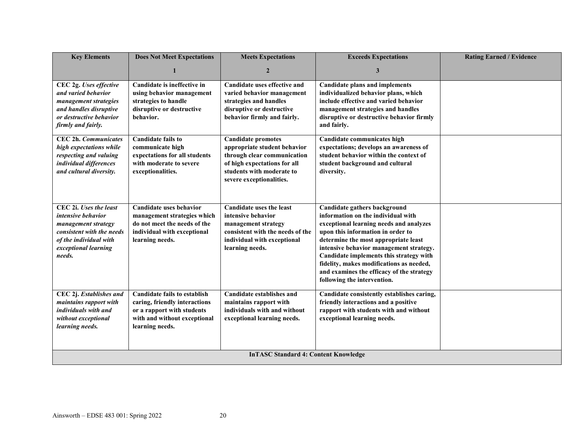| <b>Key Elements</b>                                                                                                                                                 | <b>Does Not Meet Expectations</b>                                                                                                                     | <b>Meets Expectations</b>                                                                                                                                                         | <b>Exceeds Expectations</b>                                                                                                                                                                                                                                                                                                                                                                              | <b>Rating Earned / Evidence</b> |
|---------------------------------------------------------------------------------------------------------------------------------------------------------------------|-------------------------------------------------------------------------------------------------------------------------------------------------------|-----------------------------------------------------------------------------------------------------------------------------------------------------------------------------------|----------------------------------------------------------------------------------------------------------------------------------------------------------------------------------------------------------------------------------------------------------------------------------------------------------------------------------------------------------------------------------------------------------|---------------------------------|
|                                                                                                                                                                     |                                                                                                                                                       | $\overline{2}$                                                                                                                                                                    | 3                                                                                                                                                                                                                                                                                                                                                                                                        |                                 |
| CEC 2g. Uses effective<br>and varied behavior<br>management strategies<br>and handles disruptive<br>or destructive behavior<br>firmly and fairly.                   | Candidate is ineffective in<br>using behavior management<br>strategies to handle<br>disruptive or destructive<br>behavior.                            | Candidate uses effective and<br>varied behavior management<br>strategies and handles<br>disruptive or destructive<br>behavior firmly and fairly.                                  | <b>Candidate plans and implements</b><br>individualized behavior plans, which<br>include effective and varied behavior<br>management strategies and handles<br>disruptive or destructive behavior firmly<br>and fairly.                                                                                                                                                                                  |                                 |
| <b>CEC 2h. Communicates</b><br>high expectations while<br>respecting and valuing<br>individual differences<br>and cultural diversity.                               | <b>Candidate fails to</b><br>communicate high<br>expectations for all students<br>with moderate to severe<br>exceptionalities.                        | <b>Candidate promotes</b><br>appropriate student behavior<br>through clear communication<br>of high expectations for all<br>students with moderate to<br>severe exceptionalities. | Candidate communicates high<br>expectations; develops an awareness of<br>student behavior within the context of<br>student background and cultural<br>diversity.                                                                                                                                                                                                                                         |                                 |
| CEC 2i. Uses the least<br><i>intensive behavior</i><br>management strategy<br>consistent with the needs<br>of the individual with<br>exceptional learning<br>needs. | Candidate uses behavior<br>management strategies which<br>do not meet the needs of the<br>individual with exceptional<br>learning needs.              | <b>Candidate uses the least</b><br>intensive behavior<br>management strategy<br>consistent with the needs of the<br>individual with exceptional<br>learning needs.                | Candidate gathers background<br>information on the individual with<br>exceptional learning needs and analyzes<br>upon this information in order to<br>determine the most appropriate least<br>intensive behavior management strategy.<br>Candidate implements this strategy with<br>fidelity, makes modifications as needed,<br>and examines the efficacy of the strategy<br>following the intervention. |                                 |
| CEC 2j. Establishes and<br>maintains rapport with<br>individuals with and<br>without exceptional<br>learning needs.                                                 | <b>Candidate fails to establish</b><br>caring, friendly interactions<br>or a rapport with students<br>with and without exceptional<br>learning needs. | <b>Candidate establishes and</b><br>maintains rapport with<br>individuals with and without<br>exceptional learning needs.                                                         | Candidate consistently establishes caring,<br>friendly interactions and a positive<br>rapport with students with and without<br>exceptional learning needs.                                                                                                                                                                                                                                              |                                 |
| <b>InTASC Standard 4: Content Knowledge</b>                                                                                                                         |                                                                                                                                                       |                                                                                                                                                                                   |                                                                                                                                                                                                                                                                                                                                                                                                          |                                 |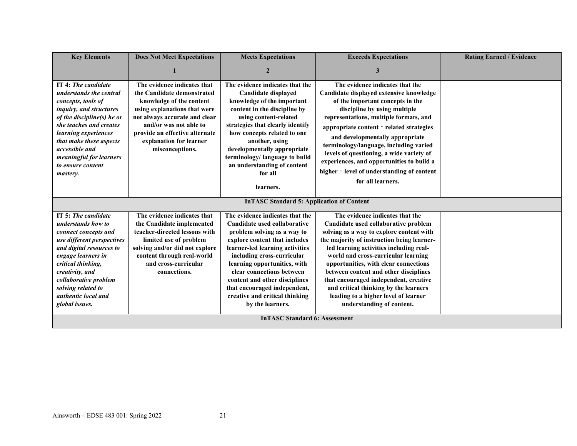| <b>Key Elements</b>                                                                                                                                                                                                                                                                       | <b>Does Not Meet Expectations</b>                                                                                                                                                                                                                                | <b>Meets Expectations</b>                                                                                                                                                                                                                                                                                                                                                            | <b>Exceeds Expectations</b>                                                                                                                                                                                                                                                                                                                                                                                                                                                                  | <b>Rating Earned / Evidence</b> |
|-------------------------------------------------------------------------------------------------------------------------------------------------------------------------------------------------------------------------------------------------------------------------------------------|------------------------------------------------------------------------------------------------------------------------------------------------------------------------------------------------------------------------------------------------------------------|--------------------------------------------------------------------------------------------------------------------------------------------------------------------------------------------------------------------------------------------------------------------------------------------------------------------------------------------------------------------------------------|----------------------------------------------------------------------------------------------------------------------------------------------------------------------------------------------------------------------------------------------------------------------------------------------------------------------------------------------------------------------------------------------------------------------------------------------------------------------------------------------|---------------------------------|
|                                                                                                                                                                                                                                                                                           |                                                                                                                                                                                                                                                                  | $\mathbf{2}$                                                                                                                                                                                                                                                                                                                                                                         | 3                                                                                                                                                                                                                                                                                                                                                                                                                                                                                            |                                 |
| IT 4: The candidate<br>understands the central<br>concepts, tools of<br>inquiry, and structures<br>of the discipline(s) he or<br>she teaches and creates<br>learning experiences<br>that make these aspects<br>accessible and<br>meaningful for learners<br>to ensure content<br>mastery. | The evidence indicates that<br>the Candidate demonstrated<br>knowledge of the content<br>using explanations that were<br>not always accurate and clear<br>and/or was not able to<br>provide an effective alternate<br>explanation for learner<br>misconceptions. | The evidence indicates that the<br>Candidate displayed<br>knowledge of the important<br>content in the discipline by<br>using content-related<br>strategies that clearly identify<br>how concepts related to one<br>another, using<br>developmentally appropriate<br>terminology/language to build<br>an understanding of content<br>for all<br>learners.                            | The evidence indicates that the<br>Candidate displayed extensive knowledge<br>of the important concepts in the<br>discipline by using multiple<br>representations, multiple formats, and<br>appropriate content - related strategies<br>and developmentally appropriate<br>terminology/language, including varied<br>levels of questioning, a wide variety of<br>experiences, and opportunities to build a<br>higher - level of understanding of content<br>for all learners.                |                                 |
|                                                                                                                                                                                                                                                                                           |                                                                                                                                                                                                                                                                  | <b>InTASC Standard 5: Application of Content</b>                                                                                                                                                                                                                                                                                                                                     |                                                                                                                                                                                                                                                                                                                                                                                                                                                                                              |                                 |
| IT 5: The candidate<br>understands how to<br>connect concepts and<br>use different perspectives<br>and digital resources to<br>engage learners in<br>critical thinking,<br>creativity, and<br>collaborative problem<br>solving related to<br>authentic local and<br>global issues.        | The evidence indicates that<br>the Candidate implemented<br>teacher-directed lessons with<br>limited use of problem<br>solving and/or did not explore<br>content through real-world<br>and cross-curricular<br>connections.                                      | The evidence indicates that the<br>Candidate used collaborative<br>problem solving as a way to<br>explore content that includes<br>learner-led learning activities<br>including cross-curricular<br>learning opportunities, with<br>clear connections between<br>content and other disciplines<br>that encouraged independent,<br>creative and critical thinking<br>by the learners. | The evidence indicates that the<br>Candidate used collaborative problem<br>solving as a way to explore content with<br>the majority of instruction being learner-<br>led learning activities including real-<br>world and cross-curricular learning<br>opportunities, with clear connections<br>between content and other disciplines<br>that encouraged independent, creative<br>and critical thinking by the learners<br>leading to a higher level of learner<br>understanding of content. |                                 |
| <b>InTASC Standard 6: Assessment</b>                                                                                                                                                                                                                                                      |                                                                                                                                                                                                                                                                  |                                                                                                                                                                                                                                                                                                                                                                                      |                                                                                                                                                                                                                                                                                                                                                                                                                                                                                              |                                 |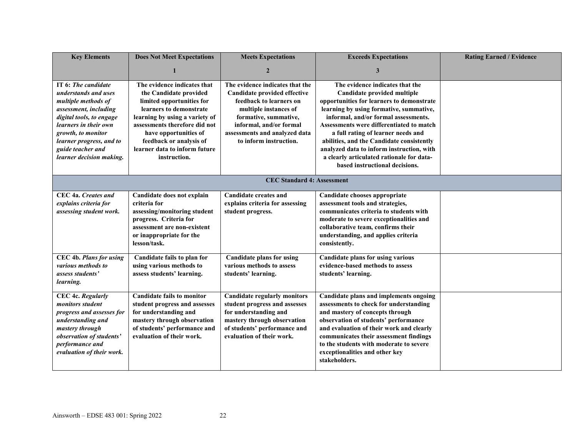| <b>Key Elements</b>                                                                                                                                                                           | <b>Does Not Meet Expectations</b>                                                                                                                                                       | <b>Meets Expectations</b>                                                                                                                                                                 | <b>Exceeds Expectations</b>                                                                                                                                                                                                                                                                                                                     | <b>Rating Earned / Evidence</b> |
|-----------------------------------------------------------------------------------------------------------------------------------------------------------------------------------------------|-----------------------------------------------------------------------------------------------------------------------------------------------------------------------------------------|-------------------------------------------------------------------------------------------------------------------------------------------------------------------------------------------|-------------------------------------------------------------------------------------------------------------------------------------------------------------------------------------------------------------------------------------------------------------------------------------------------------------------------------------------------|---------------------------------|
|                                                                                                                                                                                               |                                                                                                                                                                                         | $\overline{2}$                                                                                                                                                                            | 3                                                                                                                                                                                                                                                                                                                                               |                                 |
| IT 6: The candidate<br>understands and uses<br>multiple methods of<br>assessment, including                                                                                                   | The evidence indicates that<br>the Candidate provided<br>limited opportunities for<br>learners to demonstrate                                                                           | The evidence indicates that the<br>Candidate provided effective<br>feedback to learners on<br>multiple instances of                                                                       | The evidence indicates that the<br>Candidate provided multiple<br>opportunities for learners to demonstrate<br>learning by using formative, summative,                                                                                                                                                                                          |                                 |
| digital tools, to engage<br>learners in their own<br>growth, to monitor<br>learner progress, and to                                                                                           | learning by using a variety of<br>assessments therefore did not<br>have opportunities of<br>feedback or analysis of                                                                     | formative, summative,<br>informal, and/or formal<br>assessments and analyzed data<br>to inform instruction.                                                                               | informal, and/or formal assessments.<br>Assessments were differentiated to match<br>a full rating of learner needs and<br>abilities, and the Candidate consistently                                                                                                                                                                             |                                 |
| guide teacher and<br>learner decision making.                                                                                                                                                 | learner data to inform future<br>instruction.                                                                                                                                           |                                                                                                                                                                                           | analyzed data to inform instruction, with<br>a clearly articulated rationale for data-<br>based instructional decisions.                                                                                                                                                                                                                        |                                 |
|                                                                                                                                                                                               |                                                                                                                                                                                         | <b>CEC Standard 4: Assessment</b>                                                                                                                                                         |                                                                                                                                                                                                                                                                                                                                                 |                                 |
| CEC 4a. Creates and<br>explains criteria for<br>assessing student work.                                                                                                                       | Candidate does not explain<br>criteria for<br>assessing/monitoring student<br>progress. Criteria for<br>assessment are non-existent<br>or inappropriate for the<br>lesson/task.         | <b>Candidate creates and</b><br>explains criteria for assessing<br>student progress.                                                                                                      | Candidate chooses appropriate<br>assessment tools and strategies,<br>communicates criteria to students with<br>moderate to severe exceptionalities and<br>collaborative team, confirms their<br>understanding, and applies criteria<br>consistently.                                                                                            |                                 |
| <b>CEC 4b. Plans for using</b><br>various methods to<br>assess students'<br>learning.                                                                                                         | Candidate fails to plan for<br>using various methods to<br>assess students' learning.                                                                                                   | <b>Candidate plans for using</b><br>various methods to assess<br>students' learning.                                                                                                      | Candidate plans for using various<br>evidence-based methods to assess<br>students' learning.                                                                                                                                                                                                                                                    |                                 |
| <b>CEC 4c. Regularly</b><br>monitors student<br>progress and assesses for<br>understanding and<br>mastery through<br>observation of students'<br>performance and<br>evaluation of their work. | <b>Candidate fails to monitor</b><br>student progress and assesses<br>for understanding and<br>mastery through observation<br>of students' performance and<br>evaluation of their work. | <b>Candidate regularly monitors</b><br>student progress and assesses<br>for understanding and<br>mastery through observation<br>of students' performance and<br>evaluation of their work. | Candidate plans and implements ongoing<br>assessments to check for understanding<br>and mastery of concepts through<br>observation of students' performance<br>and evaluation of their work and clearly<br>communicates their assessment findings<br>to the students with moderate to severe<br>exceptionalities and other key<br>stakeholders. |                                 |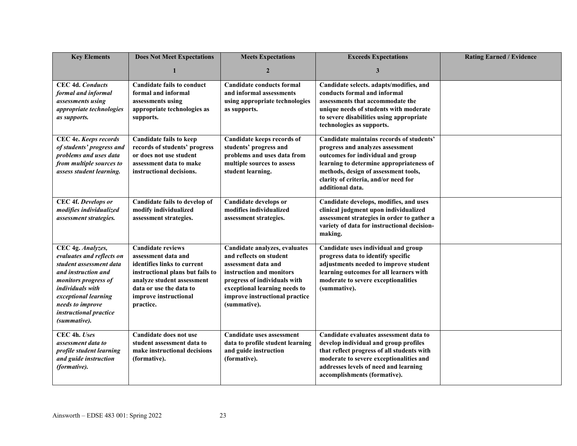| <b>Key Elements</b>                                                                                                                                                                                                                | <b>Does Not Meet Expectations</b>                                                                                                                                                                                 | <b>Meets Expectations</b>                                                                                                                                                                                                      | <b>Exceeds Expectations</b>                                                                                                                                                                                                                                       | <b>Rating Earned / Evidence</b> |
|------------------------------------------------------------------------------------------------------------------------------------------------------------------------------------------------------------------------------------|-------------------------------------------------------------------------------------------------------------------------------------------------------------------------------------------------------------------|--------------------------------------------------------------------------------------------------------------------------------------------------------------------------------------------------------------------------------|-------------------------------------------------------------------------------------------------------------------------------------------------------------------------------------------------------------------------------------------------------------------|---------------------------------|
|                                                                                                                                                                                                                                    | 1                                                                                                                                                                                                                 | $\overline{2}$                                                                                                                                                                                                                 | 3                                                                                                                                                                                                                                                                 |                                 |
| <b>CEC 4d. Conducts</b><br>formal and informal<br>assessments using<br>appropriate technologies<br>as supports.                                                                                                                    | <b>Candidate fails to conduct</b><br>formal and informal<br>assessments using<br>appropriate technologies as<br>supports.                                                                                         | <b>Candidate conducts formal</b><br>and informal assessments<br>using appropriate technologies<br>as supports.                                                                                                                 | Candidate selects. adapts/modifies, and<br>conducts formal and informal<br>assessments that accommodate the<br>unique needs of students with moderate<br>to severe disabilities using appropriate<br>technologies as supports.                                    |                                 |
| CEC 4e. Keeps records<br>of students' progress and<br>problems and uses data<br>from multiple sources to<br>assess student learning.                                                                                               | <b>Candidate fails to keep</b><br>records of students' progress<br>or does not use student<br>assessment data to make<br>instructional decisions.                                                                 | Candidate keeps records of<br>students' progress and<br>problems and uses data from<br>multiple sources to assess<br>student learning.                                                                                         | Candidate maintains records of students'<br>progress and analyzes assessment<br>outcomes for individual and group<br>learning to determine appropriateness of<br>methods, design of assessment tools,<br>clarity of criteria, and/or need for<br>additional data. |                                 |
| CEC 4f. Develops or<br>modifies individualized<br>assessment strategies.                                                                                                                                                           | Candidate fails to develop of<br>modify individualized<br>assessment strategies.                                                                                                                                  | Candidate develops or<br>modifies individualized<br>assessment strategies.                                                                                                                                                     | Candidate develops, modifies, and uses<br>clinical judgment upon individualized<br>assessment strategies in order to gather a<br>variety of data for instructional decision-<br>making.                                                                           |                                 |
| CEC 4g. Analyzes,<br>evaluates and reflects on<br>student assessment data<br>and instruction and<br>monitors progress of<br>individuals with<br>exceptional learning<br>needs to improve<br>instructional practice<br>(summative). | <b>Candidate reviews</b><br>assessment data and<br>identifies links to current<br>instructional plans but fails to<br>analyze student assessment<br>data or use the data to<br>improve instructional<br>practice. | Candidate analyzes, evaluates<br>and reflects on student<br>assessment data and<br>instruction and monitors<br>progress of individuals with<br>exceptional learning needs to<br>improve instructional practice<br>(summative). | Candidate uses individual and group<br>progress data to identify specific<br>adjustments needed to improve student<br>learning outcomes for all learners with<br>moderate to severe exceptionalities<br>(summative).                                              |                                 |
| CEC 4h. Uses<br>assessment data to<br>profile student learning<br>and guide instruction<br>(formative).                                                                                                                            | Candidate does not use<br>student assessment data to<br>make instructional decisions<br>(formative).                                                                                                              | Candidate uses assessment<br>data to profile student learning<br>and guide instruction<br>(formative).                                                                                                                         | Candidate evaluates assessment data to<br>develop individual and group profiles<br>that reflect progress of all students with<br>moderate to severe exceptionalities and<br>addresses levels of need and learning<br>accomplishments (formative).                 |                                 |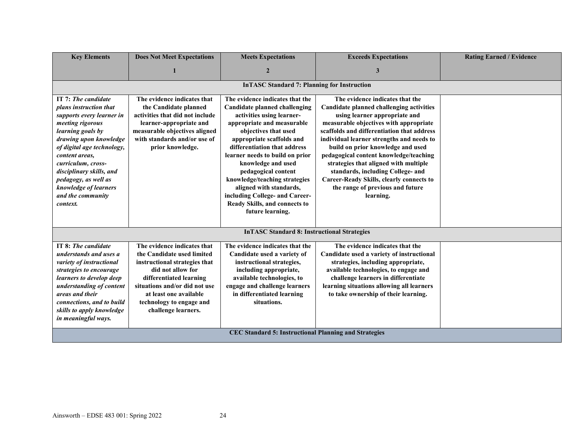| <b>Key Elements</b>                                                                                                                                                                                                                                                                                                               | <b>Does Not Meet Expectations</b>                                                                                                                                                                                                                        | <b>Meets Expectations</b>                                                                                                                                                                                                                                                                                                                                                                                                                                  | <b>Exceeds Expectations</b>                                                                                                                                                                                                                                                                                                                                                                                                                                                                                        | <b>Rating Earned / Evidence</b> |  |
|-----------------------------------------------------------------------------------------------------------------------------------------------------------------------------------------------------------------------------------------------------------------------------------------------------------------------------------|----------------------------------------------------------------------------------------------------------------------------------------------------------------------------------------------------------------------------------------------------------|------------------------------------------------------------------------------------------------------------------------------------------------------------------------------------------------------------------------------------------------------------------------------------------------------------------------------------------------------------------------------------------------------------------------------------------------------------|--------------------------------------------------------------------------------------------------------------------------------------------------------------------------------------------------------------------------------------------------------------------------------------------------------------------------------------------------------------------------------------------------------------------------------------------------------------------------------------------------------------------|---------------------------------|--|
|                                                                                                                                                                                                                                                                                                                                   |                                                                                                                                                                                                                                                          | $\overline{2}$                                                                                                                                                                                                                                                                                                                                                                                                                                             | 3                                                                                                                                                                                                                                                                                                                                                                                                                                                                                                                  |                                 |  |
|                                                                                                                                                                                                                                                                                                                                   |                                                                                                                                                                                                                                                          | <b>InTASC Standard 7: Planning for Instruction</b>                                                                                                                                                                                                                                                                                                                                                                                                         |                                                                                                                                                                                                                                                                                                                                                                                                                                                                                                                    |                                 |  |
| IT 7: The candidate<br>plans instruction that<br>supports every learner in<br>meeting rigorous<br>learning goals by<br>drawing upon knowledge<br>of digital age technology,<br>content areas,<br>curriculum, cross-<br>disciplinary skills, and<br>pedagogy, as well as<br>knowledge of learners<br>and the community<br>context. | The evidence indicates that<br>the Candidate planned<br>activities that did not include<br>learner-appropriate and<br>measurable objectives aligned<br>with standards and/or use of<br>prior knowledge.                                                  | The evidence indicates that the<br><b>Candidate planned challenging</b><br>activities using learner-<br>appropriate and measurable<br>objectives that used<br>appropriate scaffolds and<br>differentiation that address<br>learner needs to build on prior<br>knowledge and used<br>pedagogical content<br>knowledge/teaching strategies<br>aligned with standards,<br>including College- and Career-<br>Ready Skills, and connects to<br>future learning. | The evidence indicates that the<br>Candidate planned challenging activities<br>using learner appropriate and<br>measurable objectives with appropriate<br>scaffolds and differentiation that address<br>individual learner strengths and needs to<br>build on prior knowledge and used<br>pedagogical content knowledge/teaching<br>strategies that aligned with multiple<br>standards, including College- and<br><b>Career-Ready Skills, clearly connects to</b><br>the range of previous and future<br>learning. |                                 |  |
|                                                                                                                                                                                                                                                                                                                                   |                                                                                                                                                                                                                                                          | <b>InTASC Standard 8: Instructional Strategies</b>                                                                                                                                                                                                                                                                                                                                                                                                         |                                                                                                                                                                                                                                                                                                                                                                                                                                                                                                                    |                                 |  |
| IT 8: The candidate<br>understands and uses a<br>variety of instructional<br>strategies to encourage<br>learners to develop deep<br>understanding of content<br>areas and their<br>connections, and to build<br>skills to apply knowledge<br>in meaningful ways.                                                                  | The evidence indicates that<br>the Candidate used limited<br>instructional strategies that<br>did not allow for<br>differentiated learning<br>situations and/or did not use<br>at least one available<br>technology to engage and<br>challenge learners. | The evidence indicates that the<br>Candidate used a variety of<br>instructional strategies,<br>including appropriate,<br>available technologies, to<br>engage and challenge learners<br>in differentiated learning<br>situations.                                                                                                                                                                                                                          | The evidence indicates that the<br>Candidate used a variety of instructional<br>strategies, including appropriate,<br>available technologies, to engage and<br>challenge learners in differentiate<br>learning situations allowing all learners<br>to take ownership of their learning.                                                                                                                                                                                                                            |                                 |  |
|                                                                                                                                                                                                                                                                                                                                   | <b>CEC Standard 5: Instructional Planning and Strategies</b>                                                                                                                                                                                             |                                                                                                                                                                                                                                                                                                                                                                                                                                                            |                                                                                                                                                                                                                                                                                                                                                                                                                                                                                                                    |                                 |  |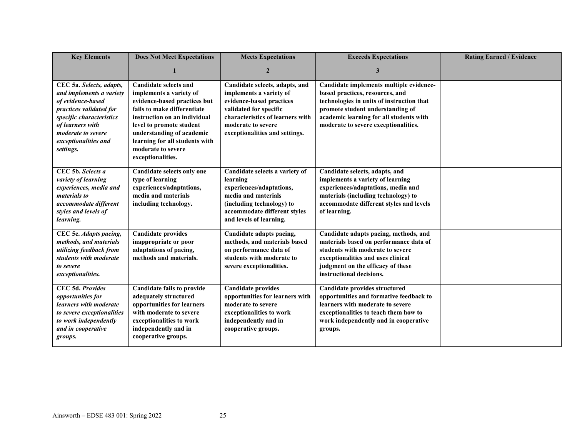| <b>Key Elements</b>                                                                                                                                                                                             | <b>Does Not Meet Expectations</b>                                                                                                                                                                                                                                                            | <b>Meets Expectations</b>                                                                                                                                                                                   | <b>Exceeds Expectations</b>                                                                                                                                                                                                                    | <b>Rating Earned / Evidence</b> |
|-----------------------------------------------------------------------------------------------------------------------------------------------------------------------------------------------------------------|----------------------------------------------------------------------------------------------------------------------------------------------------------------------------------------------------------------------------------------------------------------------------------------------|-------------------------------------------------------------------------------------------------------------------------------------------------------------------------------------------------------------|------------------------------------------------------------------------------------------------------------------------------------------------------------------------------------------------------------------------------------------------|---------------------------------|
|                                                                                                                                                                                                                 |                                                                                                                                                                                                                                                                                              | $\mathbf{2}$                                                                                                                                                                                                | 3                                                                                                                                                                                                                                              |                                 |
| CEC 5a. Selects, adapts,<br>and implements a variety<br>of evidence-based<br>practices validated for<br>specific characteristics<br>of learners with<br>moderate to severe<br>exceptionalities and<br>settings. | <b>Candidate selects and</b><br>implements a variety of<br>evidence-based practices but<br>fails to make differentiate<br>instruction on an individual<br>level to promote student<br>understanding of academic<br>learning for all students with<br>moderate to severe<br>exceptionalities. | Candidate selects, adapts, and<br>implements a variety of<br>evidence-based practices<br>validated for specific<br>characteristics of learners with<br>moderate to severe<br>exceptionalities and settings. | Candidate implements multiple evidence-<br>based practices, resources, and<br>technologies in units of instruction that<br>promote student understanding of<br>academic learning for all students with<br>moderate to severe exceptionalities. |                                 |
| CEC 5b. Selects a<br>variety of learning<br>experiences, media and<br><i>materials to</i><br>accommodate different<br>styles and levels of<br>learning.                                                         | Candidate selects only one<br>type of learning<br>experiences/adaptations,<br>media and materials<br>including technology.                                                                                                                                                                   | Candidate selects a variety of<br>learning<br>experiences/adaptations,<br>media and materials<br>(including technology) to<br>accommodate different styles<br>and levels of learning.                       | Candidate selects, adapts, and<br>implements a variety of learning<br>experiences/adaptations, media and<br>materials (including technology) to<br>accommodate different styles and levels<br>of learning.                                     |                                 |
| CEC 5c. Adapts pacing,<br>methods, and materials<br>utilizing feedback from<br>students with moderate<br>to severe<br>exceptionalities.                                                                         | <b>Candidate provides</b><br>inappropriate or poor<br>adaptations of pacing,<br>methods and materials.                                                                                                                                                                                       | Candidate adapts pacing,<br>methods, and materials based<br>on performance data of<br>students with moderate to<br>severe exceptionalities.                                                                 | Candidate adapts pacing, methods, and<br>materials based on performance data of<br>students with moderate to severe<br>exceptionalities and uses clinical<br>judgment on the efficacy of these<br>instructional decisions.                     |                                 |
| CEC 5d. Provides<br><i>opportunities for</i><br>learners with moderate<br>to severe exceptionalities<br>to work independently<br>and in cooperative<br>groups.                                                  | <b>Candidate fails to provide</b><br>adequately structured<br>opportunities for learners<br>with moderate to severe<br>exceptionalities to work<br>independently and in<br>cooperative groups.                                                                                               | <b>Candidate provides</b><br>opportunities for learners with<br>moderate to severe<br>exceptionalities to work<br>independently and in<br>cooperative groups.                                               | Candidate provides structured<br>opportunities and formative feedback to<br>learners with moderate to severe<br>exceptionalities to teach them how to<br>work independently and in cooperative<br>groups.                                      |                                 |

#### Ainsworth – EDSE 483 001: Spring 2022 25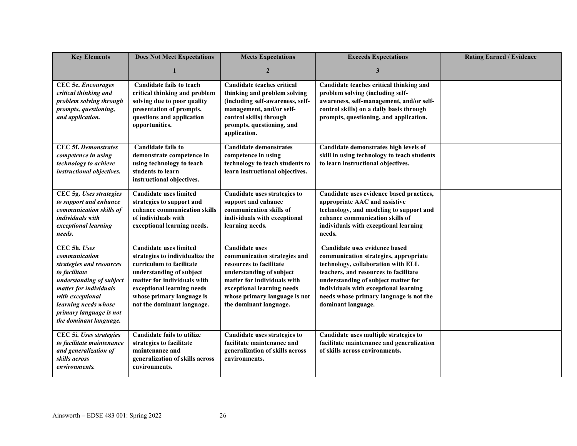| <b>Key Elements</b>                                                                                                                                                                                                               | <b>Does Not Meet Expectations</b>                                                                                                                                                                                                                | <b>Meets Expectations</b>                                                                                                                                                                                                            | <b>Exceeds Expectations</b>                                                                                                                                                                                                                                                                            | <b>Rating Earned / Evidence</b> |
|-----------------------------------------------------------------------------------------------------------------------------------------------------------------------------------------------------------------------------------|--------------------------------------------------------------------------------------------------------------------------------------------------------------------------------------------------------------------------------------------------|--------------------------------------------------------------------------------------------------------------------------------------------------------------------------------------------------------------------------------------|--------------------------------------------------------------------------------------------------------------------------------------------------------------------------------------------------------------------------------------------------------------------------------------------------------|---------------------------------|
|                                                                                                                                                                                                                                   |                                                                                                                                                                                                                                                  | $\overline{2}$                                                                                                                                                                                                                       | 3                                                                                                                                                                                                                                                                                                      |                                 |
| <b>CEC</b> 5e. <i>Encourages</i><br>critical thinking and<br>problem solving through<br>prompts, questioning,<br>and application.                                                                                                 | <b>Candidate fails to teach</b><br>critical thinking and problem<br>solving due to poor quality<br>presentation of prompts,<br>questions and application<br>opportunities.                                                                       | <b>Candidate teaches critical</b><br>thinking and problem solving<br>(including self-awareness, self-<br>management, and/or self-<br>control skills) through<br>prompts, questioning, and<br>application.                            | Candidate teaches critical thinking and<br>problem solving (including self-<br>awareness, self-management, and/or self-<br>control skills) on a daily basis through<br>prompts, questioning, and application.                                                                                          |                                 |
| <b>CEC 5f. Demonstrates</b><br>competence in using<br>technology to achieve<br>instructional objectives.                                                                                                                          | <b>Candidate fails to</b><br>demonstrate competence in<br>using technology to teach<br>students to learn<br>instructional objectives.                                                                                                            | <b>Candidate demonstrates</b><br>competence in using<br>technology to teach students to<br>learn instructional objectives.                                                                                                           | Candidate demonstrates high levels of<br>skill in using technology to teach students<br>to learn instructional objectives.                                                                                                                                                                             |                                 |
| CEC 5g. Uses strategies<br>to support and enhance<br>communication skills of<br>individuals with<br>exceptional learning<br>needs.                                                                                                | <b>Candidate uses limited</b><br>strategies to support and<br>enhance communication skills<br>of individuals with<br>exceptional learning needs.                                                                                                 | Candidate uses strategies to<br>support and enhance<br>communication skills of<br>individuals with exceptional<br>learning needs.                                                                                                    | Candidate uses evidence based practices,<br>appropriate AAC and assistive<br>technology, and modeling to support and<br>enhance communication skills of<br>individuals with exceptional learning<br>needs.                                                                                             |                                 |
| CEC 5h. Uses<br>communication<br>strategies and resources<br>to facilitate<br>understanding of subject<br>matter for individuals<br>with exceptional<br>learning needs whose<br>primary language is not<br>the dominant language. | <b>Candidate uses limited</b><br>strategies to individualize the<br>curriculum to facilitate<br>understanding of subject<br>matter for individuals with<br>exceptional learning needs<br>whose primary language is<br>not the dominant language. | <b>Candidate uses</b><br>communication strategies and<br>resources to facilitate<br>understanding of subject<br>matter for individuals with<br>exceptional learning needs<br>whose primary language is not<br>the dominant language. | Candidate uses evidence based<br>communication strategies, appropriate<br>technology, collaboration with ELL<br>teachers, and resources to facilitate<br>understanding of subject matter for<br>individuals with exceptional learning<br>needs whose primary language is not the<br>dominant language. |                                 |
| CEC 5i. Uses strategies<br>to facilitate maintenance<br>and generalization of<br>skills across<br>environments.                                                                                                                   | <b>Candidate fails to utilize</b><br>strategies to facilitate<br>maintenance and<br>generalization of skills across<br>environments.                                                                                                             | Candidate uses strategies to<br>facilitate maintenance and<br>generalization of skills across<br>environments.                                                                                                                       | Candidate uses multiple strategies to<br>facilitate maintenance and generalization<br>of skills across environments.                                                                                                                                                                                   |                                 |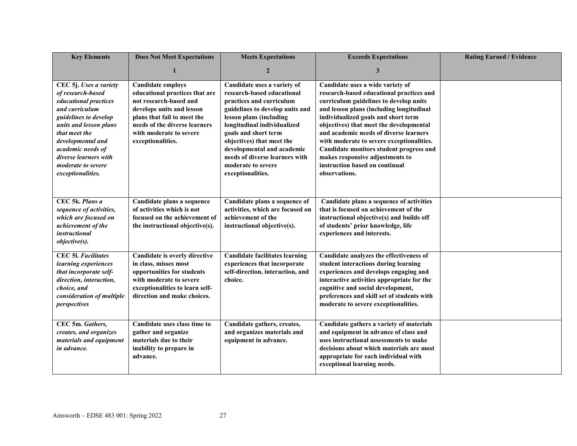| <b>Key Elements</b>                                                                                                                                                                                                                                                      | <b>Does Not Meet Expectations</b>                                                                                                                                                                                                 | <b>Meets Expectations</b>                                                                                                                                                                                                                                                                                                                          | <b>Exceeds Expectations</b>                                                                                                                                                                                                                                                                                                                                                                                                                                                  | <b>Rating Earned / Evidence</b> |
|--------------------------------------------------------------------------------------------------------------------------------------------------------------------------------------------------------------------------------------------------------------------------|-----------------------------------------------------------------------------------------------------------------------------------------------------------------------------------------------------------------------------------|----------------------------------------------------------------------------------------------------------------------------------------------------------------------------------------------------------------------------------------------------------------------------------------------------------------------------------------------------|------------------------------------------------------------------------------------------------------------------------------------------------------------------------------------------------------------------------------------------------------------------------------------------------------------------------------------------------------------------------------------------------------------------------------------------------------------------------------|---------------------------------|
|                                                                                                                                                                                                                                                                          |                                                                                                                                                                                                                                   | $\overline{2}$                                                                                                                                                                                                                                                                                                                                     | 3                                                                                                                                                                                                                                                                                                                                                                                                                                                                            |                                 |
| CEC 5j. Uses a variety<br>of research-based<br>educational practices<br>and curriculum<br>guidelines to develop<br>units and lesson plans<br>that meet the<br>developmental and<br>academic needs of<br>diverse learners with<br>moderate to severe<br>exceptionalities. | <b>Candidate employs</b><br>educational practices that are<br>not research-based and<br>develops units and lesson<br>plans that fail to meet the<br>needs of the diverse learners<br>with moderate to severe<br>exceptionalities. | Candidate uses a variety of<br>research-based educational<br>practices and curriculum<br>guidelines to develop units and<br>lesson plans (including<br>longitudinal individualized<br>goals and short term<br>objectives) that meet the<br>developmental and academic<br>needs of diverse learners with<br>moderate to severe<br>exceptionalities. | Candidate uses a wide variety of<br>research-based educational practices and<br>curriculum guidelines to develop units<br>and lesson plans (including longitudinal<br>individualized goals and short term<br>objectives) that meet the developmental<br>and academic needs of diverse learners<br>with moderate to severe exceptionalities.<br>Candidate monitors student progress and<br>makes responsive adjustments to<br>instruction based on continual<br>observations. |                                 |
| CEC 5k. Plans a<br>sequence of activities,<br>which are focused on<br>achievement of the<br><i>instructional</i><br>objective(s).                                                                                                                                        | Candidate plans a sequence<br>of activities which is not<br>focused on the achievement of<br>the instructional objective(s).                                                                                                      | Candidate plans a sequence of<br>activities, which are focused on<br>achievement of the<br>instructional objective(s).                                                                                                                                                                                                                             | Candidate plans a sequence of activities<br>that is focused on achievement of the<br>instructional objective(s) and builds off<br>of students' prior knowledge, life<br>experiences and interests.                                                                                                                                                                                                                                                                           |                                 |
| <b>CEC 51. Facilitates</b><br>learning experiences<br>that incorporate self-<br>direction, interaction,<br>choice, and<br>consideration of multiple<br>perspectives                                                                                                      | Candidate is overly directive<br>in class, misses most<br>opportunities for students<br>with moderate to severe<br>exceptionalities to learn self-<br>direction and make choices.                                                 | <b>Candidate facilitates learning</b><br>experiences that incorporate<br>self-direction, interaction, and<br>choice.                                                                                                                                                                                                                               | Candidate analyzes the effectiveness of<br>student interactions during learning<br>experiences and develops engaging and<br>interactive activities appropriate for the<br>cognitive and social development,<br>preferences and skill set of students with<br>moderate to severe exceptionalities.                                                                                                                                                                            |                                 |
| CEC 5m. Gathers,<br>creates, and organizes<br>materials and equipment<br>in advance.                                                                                                                                                                                     | Candidate uses class time to<br>gather and organize<br>materials due to their<br>inability to prepare in<br>advance.                                                                                                              | Candidate gathers, creates,<br>and organizes materials and<br>equipment in advance.                                                                                                                                                                                                                                                                | Candidate gathers a variety of materials<br>and equipment in advance of class and<br>uses instructional assessments to make<br>decisions about which materials are most<br>appropriate for each individual with<br>exceptional learning needs.                                                                                                                                                                                                                               |                                 |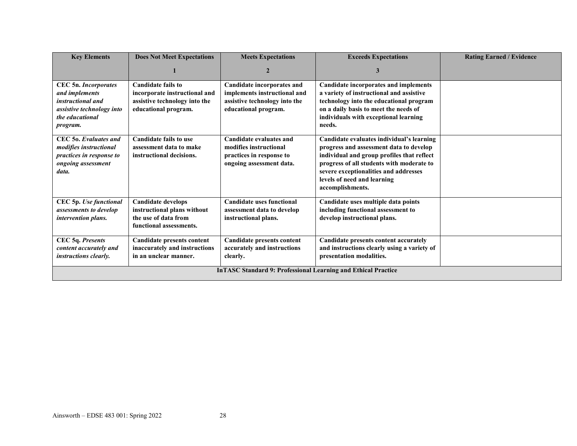| <b>Key Elements</b>                                                                                                                   | <b>Does Not Meet Expectations</b>                                                                                   | <b>Meets Expectations</b>                                                                                                  | <b>Exceeds Expectations</b>                                                                                                                                                                                                                                                 | <b>Rating Earned / Evidence</b> |  |
|---------------------------------------------------------------------------------------------------------------------------------------|---------------------------------------------------------------------------------------------------------------------|----------------------------------------------------------------------------------------------------------------------------|-----------------------------------------------------------------------------------------------------------------------------------------------------------------------------------------------------------------------------------------------------------------------------|---------------------------------|--|
|                                                                                                                                       |                                                                                                                     | $\overline{2}$                                                                                                             | 3                                                                                                                                                                                                                                                                           |                                 |  |
| <b>CEC 5n. Incorporates</b><br>and implements<br><i>instructional and</i><br>assistive technology into<br>the educational<br>program. | <b>Candidate fails to</b><br>incorporate instructional and<br>assistive technology into the<br>educational program. | <b>Candidate incorporates and</b><br>implements instructional and<br>assistive technology into the<br>educational program. | <b>Candidate incorporates and implements</b><br>a variety of instructional and assistive<br>technology into the educational program<br>on a daily basis to meet the needs of<br>individuals with exceptional learning<br>needs.                                             |                                 |  |
| CEC 50. Evaluates and<br><i>modifies instructional</i><br>practices in response to<br>ongoing assessment<br>data.                     | <b>Candidate fails to use</b><br>assessment data to make<br>instructional decisions.                                | Candidate evaluates and<br>modifies instructional<br>practices in response to<br>ongoing assessment data.                  | Candidate evaluates individual's learning<br>progress and assessment data to develop<br>individual and group profiles that reflect<br>progress of all students with moderate to<br>severe exceptionalities and addresses<br>levels of need and learning<br>accomplishments. |                                 |  |
| CEC 5p. Use functional<br>assessments to develop<br>intervention plans.                                                               | <b>Candidate develops</b><br>instructional plans without<br>the use of data from<br>functional assessments.         | <b>Candidate uses functional</b><br>assessment data to develop<br>instructional plans.                                     | Candidate uses multiple data points<br>including functional assessment to<br>develop instructional plans.                                                                                                                                                                   |                                 |  |
| CEC 5q. Presents<br>content accurately and<br><i>instructions clearly.</i>                                                            | <b>Candidate presents content</b><br>inaccurately and instructions<br>in an unclear manner.                         | <b>Candidate presents content</b><br>accurately and instructions<br>clearly.                                               | Candidate presents content accurately<br>and instructions clearly using a variety of<br>presentation modalities.                                                                                                                                                            |                                 |  |
|                                                                                                                                       | <b>InTASC Standard 9: Professional Learning and Ethical Practice</b>                                                |                                                                                                                            |                                                                                                                                                                                                                                                                             |                                 |  |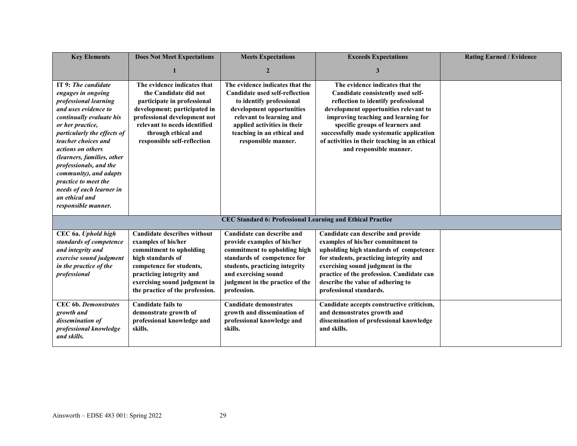| <b>Key Elements</b>                                                                                                                                                                                                                                                                                                                                                                                  | <b>Does Not Meet Expectations</b>                                                                                                                                                                                                         | <b>Meets Expectations</b>                                                                                                                                                                                                                         | <b>Exceeds Expectations</b>                                                                                                                                                                                                                                                                                                                            | <b>Rating Earned / Evidence</b> |
|------------------------------------------------------------------------------------------------------------------------------------------------------------------------------------------------------------------------------------------------------------------------------------------------------------------------------------------------------------------------------------------------------|-------------------------------------------------------------------------------------------------------------------------------------------------------------------------------------------------------------------------------------------|---------------------------------------------------------------------------------------------------------------------------------------------------------------------------------------------------------------------------------------------------|--------------------------------------------------------------------------------------------------------------------------------------------------------------------------------------------------------------------------------------------------------------------------------------------------------------------------------------------------------|---------------------------------|
|                                                                                                                                                                                                                                                                                                                                                                                                      |                                                                                                                                                                                                                                           | $\overline{2}$                                                                                                                                                                                                                                    | 3                                                                                                                                                                                                                                                                                                                                                      |                                 |
| IT 9: The candidate<br>engages in ongoing<br>professional learning<br>and uses evidence to<br>continually evaluate his<br>or her practice,<br>particularly the effects of<br>teacher choices and<br>actions on others<br>(learners, families, other<br>professionals, and the<br>community), and adapts<br>practice to meet the<br>needs of each learner in<br>an ethical and<br>responsible manner. | The evidence indicates that<br>the Candidate did not<br>participate in professional<br>development; participated in<br>professional development not<br>relevant to needs identified<br>through ethical and<br>responsible self-reflection | The evidence indicates that the<br><b>Candidate used self-reflection</b><br>to identify professional<br>development opportunities<br>relevant to learning and<br>applied activities in their<br>teaching in an ethical and<br>responsible manner. | The evidence indicates that the<br>Candidate consistently used self-<br>reflection to identify professional<br>development opportunities relevant to<br>improving teaching and learning for<br>specific groups of learners and<br>successfully made systematic application<br>of activities in their teaching in an ethical<br>and responsible manner. |                                 |
|                                                                                                                                                                                                                                                                                                                                                                                                      |                                                                                                                                                                                                                                           | CEC Standard 6: Professional Learning and Ethical Practice                                                                                                                                                                                        |                                                                                                                                                                                                                                                                                                                                                        |                                 |
| CEC 6a. Uphold high<br>standards of competence<br>and integrity and<br>exercise sound judgment<br>in the practice of the<br>professional                                                                                                                                                                                                                                                             | <b>Candidate describes without</b><br>examples of his/her<br>commitment to upholding<br>high standards of<br>competence for students,<br>practicing integrity and<br>exercising sound judgment in<br>the practice of the profession.      | Candidate can describe and<br>provide examples of his/her<br>commitment to upholding high<br>standards of competence for<br>students, practicing integrity<br>and exercising sound<br>judgment in the practice of the<br>profession.              | Candidate can describe and provide<br>examples of his/her commitment to<br>upholding high standards of competence<br>for students, practicing integrity and<br>exercising sound judgment in the<br>practice of the profession. Candidate can<br>describe the value of adhering to<br>professional standards.                                           |                                 |
| <b>CEC</b> 6b. Demonstrates<br>growth and<br>dissemination of<br>professional knowledge<br>and skills.                                                                                                                                                                                                                                                                                               | <b>Candidate fails to</b><br>demonstrate growth of<br>professional knowledge and<br>skills.                                                                                                                                               | <b>Candidate demonstrates</b><br>growth and dissemination of<br>professional knowledge and<br>skills.                                                                                                                                             | Candidate accepts constructive criticism,<br>and demonstrates growth and<br>dissemination of professional knowledge<br>and skills.                                                                                                                                                                                                                     |                                 |

#### Ainsworth – EDSE 483 001: Spring 2022 29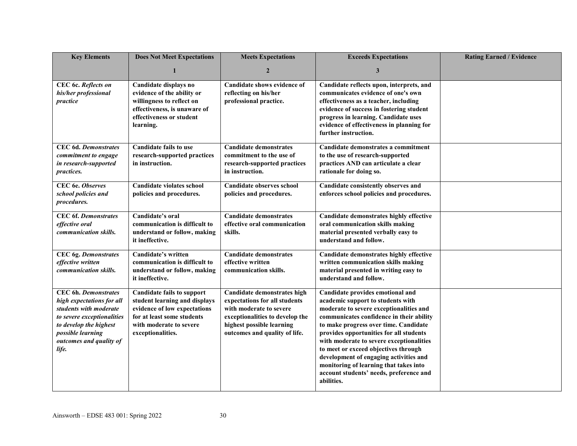| <b>Key Elements</b>                                                                                                                                                                                 | <b>Does Not Meet Expectations</b>                                                                                                                                                | <b>Meets Expectations</b>                                                                                                                                                                | <b>Exceeds Expectations</b>                                                                                                                                                                                                                                                                                                                                                                                                                                                       | <b>Rating Earned / Evidence</b> |
|-----------------------------------------------------------------------------------------------------------------------------------------------------------------------------------------------------|----------------------------------------------------------------------------------------------------------------------------------------------------------------------------------|------------------------------------------------------------------------------------------------------------------------------------------------------------------------------------------|-----------------------------------------------------------------------------------------------------------------------------------------------------------------------------------------------------------------------------------------------------------------------------------------------------------------------------------------------------------------------------------------------------------------------------------------------------------------------------------|---------------------------------|
|                                                                                                                                                                                                     | 1                                                                                                                                                                                | $\mathbf{2}$                                                                                                                                                                             | 3                                                                                                                                                                                                                                                                                                                                                                                                                                                                                 |                                 |
| CEC 6c. Reflects on<br>his/her professional<br>practice                                                                                                                                             | Candidate displays no<br>evidence of the ability or<br>willingness to reflect on<br>effectiveness, is unaware of<br>effectiveness or student<br>learning.                        | Candidate shows evidence of<br>reflecting on his/her<br>professional practice.                                                                                                           | Candidate reflects upon, interprets, and<br>communicates evidence of one's own<br>effectiveness as a teacher, including<br>evidence of success in fostering student<br>progress in learning. Candidate uses<br>evidence of effectiveness in planning for<br>further instruction.                                                                                                                                                                                                  |                                 |
| <b>CEC 6d. Demonstrates</b><br>commitment to engage<br>in research-supported<br><i>practices.</i>                                                                                                   | <b>Candidate fails to use</b><br>research-supported practices<br>in instruction.                                                                                                 | <b>Candidate demonstrates</b><br>commitment to the use of<br>research-supported practices<br>in instruction.                                                                             | Candidate demonstrates a commitment<br>to the use of research-supported<br>practices AND can articulate a clear<br>rationale for doing so.                                                                                                                                                                                                                                                                                                                                        |                                 |
| CEC 6e. Observes<br>school policies and<br>procedures.                                                                                                                                              | <b>Candidate violates school</b><br>policies and procedures.                                                                                                                     | <b>Candidate observes school</b><br>policies and procedures.                                                                                                                             | Candidate consistently observes and<br>enforces school policies and procedures.                                                                                                                                                                                                                                                                                                                                                                                                   |                                 |
| <b>CEC 6f. Demonstrates</b><br>effective oral<br>communication skills.                                                                                                                              | Candidate's oral<br>communication is difficult to<br>understand or follow, making<br>it ineffective.                                                                             | <b>Candidate demonstrates</b><br>effective oral communication<br>skills.                                                                                                                 | Candidate demonstrates highly effective<br>oral communication skills making<br>material presented verbally easy to<br>understand and follow.                                                                                                                                                                                                                                                                                                                                      |                                 |
| <b>CEC</b> 6g. Demonstrates<br>effective written<br>communication skills.                                                                                                                           | Candidate's written<br>communication is difficult to<br>understand or follow, making<br>it ineffective.                                                                          | <b>Candidate demonstrates</b><br>effective written<br>communication skills.                                                                                                              | Candidate demonstrates highly effective<br>written communication skills making<br>material presented in writing easy to<br>understand and follow.                                                                                                                                                                                                                                                                                                                                 |                                 |
| <b>CEC</b> 6h. Demonstrates<br>high expectations for all<br>students with moderate<br>to severe exceptionalities<br>to develop the highest<br>possible learning<br>outcomes and quality of<br>life. | <b>Candidate fails to support</b><br>student learning and displays<br>evidence of low expectations<br>for at least some students<br>with moderate to severe<br>exceptionalities. | Candidate demonstrates high<br>expectations for all students<br>with moderate to severe<br>exceptionalities to develop the<br>highest possible learning<br>outcomes and quality of life. | Candidate provides emotional and<br>academic support to students with<br>moderate to severe exceptionalities and<br>communicates confidence in their ability<br>to make progress over time. Candidate<br>provides opportunities for all students<br>with moderate to severe exceptionalities<br>to meet or exceed objectives through<br>development of engaging activities and<br>monitoring of learning that takes into<br>account students' needs, preference and<br>abilities. |                                 |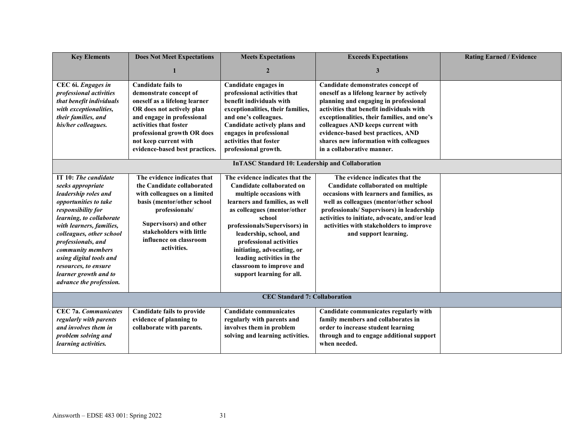| <b>Key Elements</b>                                                                                                                                                                                                                                                                                                                                    | <b>Does Not Meet Expectations</b>                                                                                                                                                                                                                                   | <b>Meets Expectations</b>                                                                                                                                                                                                                                                                                                                                                     | <b>Exceeds Expectations</b>                                                                                                                                                                                                                                                                                                                                           | <b>Rating Earned / Evidence</b> |
|--------------------------------------------------------------------------------------------------------------------------------------------------------------------------------------------------------------------------------------------------------------------------------------------------------------------------------------------------------|---------------------------------------------------------------------------------------------------------------------------------------------------------------------------------------------------------------------------------------------------------------------|-------------------------------------------------------------------------------------------------------------------------------------------------------------------------------------------------------------------------------------------------------------------------------------------------------------------------------------------------------------------------------|-----------------------------------------------------------------------------------------------------------------------------------------------------------------------------------------------------------------------------------------------------------------------------------------------------------------------------------------------------------------------|---------------------------------|
|                                                                                                                                                                                                                                                                                                                                                        |                                                                                                                                                                                                                                                                     | $\overline{2}$                                                                                                                                                                                                                                                                                                                                                                | 3                                                                                                                                                                                                                                                                                                                                                                     |                                 |
| CEC 6i. Engages in<br>professional activities<br>that benefit individuals<br>with exceptionalities,<br>their families, and<br>his/her colleagues.                                                                                                                                                                                                      | <b>Candidate fails to</b><br>demonstrate concept of<br>oneself as a lifelong learner<br>OR does not actively plan<br>and engage in professional<br>activities that foster<br>professional growth OR does<br>not keep current with<br>evidence-based best practices. | Candidate engages in<br>professional activities that<br>benefit individuals with<br>exceptionalities, their families,<br>and one's colleagues.<br>Candidate actively plans and<br>engages in professional<br>activities that foster<br>professional growth.                                                                                                                   | Candidate demonstrates concept of<br>oneself as a lifelong learner by actively<br>planning and engaging in professional<br>activities that benefit individuals with<br>exceptionalities, their families, and one's<br>colleagues AND keeps current with<br>evidence-based best practices, AND<br>shares new information with colleagues<br>in a collaborative manner. |                                 |
|                                                                                                                                                                                                                                                                                                                                                        |                                                                                                                                                                                                                                                                     | <b>InTASC Standard 10: Leadership and Collaboration</b>                                                                                                                                                                                                                                                                                                                       |                                                                                                                                                                                                                                                                                                                                                                       |                                 |
| IT 10: The candidate<br>seeks appropriate<br>leadership roles and<br>opportunities to take<br>responsibility for<br>learning, to collaborate<br>with learners, families,<br>colleagues, other school<br>professionals, and<br>community members<br>using digital tools and<br>resources, to ensure<br>learner growth and to<br>advance the profession. | The evidence indicates that<br>the Candidate collaborated<br>with colleagues on a limited<br>basis (mentor/other school<br>professionals/<br>Supervisors) and other<br>stakeholders with little<br>influence on classroom<br>activities.                            | The evidence indicates that the<br>Candidate collaborated on<br>multiple occasions with<br>learners and families, as well<br>as colleagues (mentor/other<br>school<br>professionals/Supervisors) in<br>leadership, school, and<br>professional activities<br>initiating, advocating, or<br>leading activities in the<br>classroom to improve and<br>support learning for all. | The evidence indicates that the<br>Candidate collaborated on multiple<br>occasions with learners and families, as<br>well as colleagues (mentor/other school<br>professionals/ Supervisors) in leadership<br>activities to initiate, advocate, and/or lead<br>activities with stakeholders to improve<br>and support learning.                                        |                                 |
| <b>CEC Standard 7: Collaboration</b>                                                                                                                                                                                                                                                                                                                   |                                                                                                                                                                                                                                                                     |                                                                                                                                                                                                                                                                                                                                                                               |                                                                                                                                                                                                                                                                                                                                                                       |                                 |
| <b>CEC 7a. Communicates</b><br>regularly with parents<br>and involves them in<br>problem solving and<br>learning activities.                                                                                                                                                                                                                           | <b>Candidate fails to provide</b><br>evidence of planning to<br>collaborate with parents.                                                                                                                                                                           | <b>Candidate communicates</b><br>regularly with parents and<br>involves them in problem<br>solving and learning activities.                                                                                                                                                                                                                                                   | Candidate communicates regularly with<br>family members and collaborates in<br>order to increase student learning<br>through and to engage additional support<br>when needed.                                                                                                                                                                                         |                                 |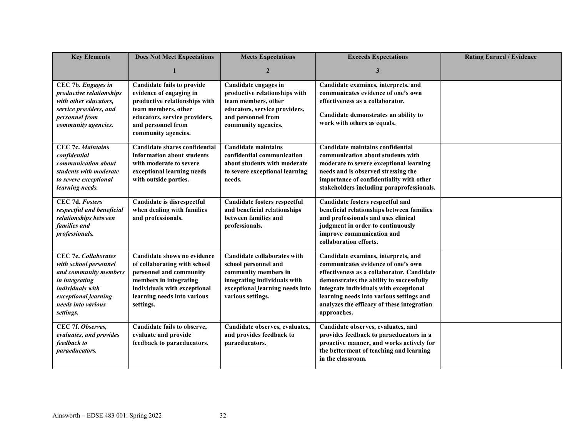| <b>Key Elements</b>                                                                                                                                                            | <b>Does Not Meet Expectations</b>                                                                                                                                                                  | <b>Meets Expectations</b>                                                                                                                                                  | <b>Exceeds Expectations</b>                                                                                                                                                                                                                                                                                            | <b>Rating Earned / Evidence</b> |
|--------------------------------------------------------------------------------------------------------------------------------------------------------------------------------|----------------------------------------------------------------------------------------------------------------------------------------------------------------------------------------------------|----------------------------------------------------------------------------------------------------------------------------------------------------------------------------|------------------------------------------------------------------------------------------------------------------------------------------------------------------------------------------------------------------------------------------------------------------------------------------------------------------------|---------------------------------|
|                                                                                                                                                                                |                                                                                                                                                                                                    | $\overline{2}$                                                                                                                                                             | 3                                                                                                                                                                                                                                                                                                                      |                                 |
| CEC 7b. Engages in<br>productive relationships<br>with other educators,<br>service providers, and<br>personnel from<br>community agencies.                                     | <b>Candidate fails to provide</b><br>evidence of engaging in<br>productive relationships with<br>team members, other<br>educators, service providers,<br>and personnel from<br>community agencies. | Candidate engages in<br>productive relationships with<br>team members, other<br>educators, service providers,<br>and personnel from<br>community agencies.                 | Candidate examines, interprets, and<br>communicates evidence of one's own<br>effectiveness as a collaborator.<br>Candidate demonstrates an ability to<br>work with others as equals.                                                                                                                                   |                                 |
| <b>CEC 7c. Maintains</b><br>confidential<br>communication about<br>students with moderate<br>to severe exceptional<br>learning needs.                                          | Candidate shares confidential<br>information about students<br>with moderate to severe<br>exceptional learning needs<br>with outside parties.                                                      | <b>Candidate maintains</b><br>confidential communication<br>about students with moderate<br>to severe exceptional learning<br>needs.                                       | Candidate maintains confidential<br>communication about students with<br>moderate to severe exceptional learning<br>needs and is observed stressing the<br>importance of confidentiality with other<br>stakeholders including paraprofessionals.                                                                       |                                 |
| CEC 7d. Fosters<br>respectful and beneficial<br>relationships between<br>families and<br>professionals.                                                                        | Candidate is disrespectful<br>when dealing with families<br>and professionals.                                                                                                                     | Candidate fosters respectful<br>and beneficial relationships<br>between families and<br>professionals.                                                                     | Candidate fosters respectful and<br>beneficial relationships between families<br>and professionals and uses clinical<br>judgment in order to continuously<br>improve communication and<br>collaboration efforts.                                                                                                       |                                 |
| <b>CEC 7e. Collaborates</b><br>with school personnel<br>and community members<br>in integrating<br>individuals with<br>exceptional_learning<br>needs into various<br>settings. | Candidate shows no evidence<br>of collaborating with school<br>personnel and community<br>members in integrating<br>individuals with exceptional<br>learning needs into various<br>settings.       | <b>Candidate collaborates with</b><br>school personnel and<br>community members in<br>integrating individuals with<br>exceptional_learning needs into<br>various settings. | Candidate examines, interprets, and<br>communicates evidence of one's own<br>effectiveness as a collaborator. Candidate<br>demonstrates the ability to successfully<br>integrate individuals with exceptional<br>learning needs into various settings and<br>analyzes the efficacy of these integration<br>approaches. |                                 |
| CEC 7f. Observes,<br>evaluates, and provides<br>feedback to<br><i>paraeducators.</i>                                                                                           | Candidate fails to observe,<br>evaluate and provide<br>feedback to paraeducators.                                                                                                                  | Candidate observes, evaluates,<br>and provides feedback to<br>paraeducators.                                                                                               | Candidate observes, evaluates, and<br>provides feedback to paraeducators in a<br>proactive manner, and works actively for<br>the betterment of teaching and learning<br>in the classroom.                                                                                                                              |                                 |